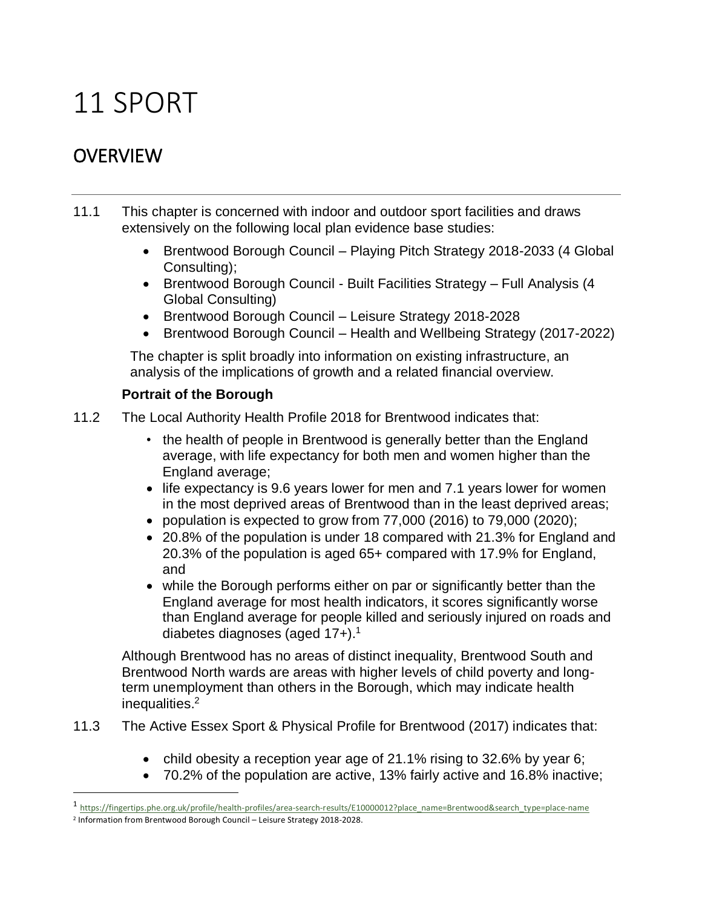# 11 SPORT

# **OVERVIEW**

- 11.1 This chapter is concerned with indoor and outdoor sport facilities and draws extensively on the following local plan evidence base studies:
	- Brentwood Borough Council Playing Pitch Strategy 2018-2033 (4 Global Consulting);
	- Brentwood Borough Council Built Facilities Strategy Full Analysis (4 Global Consulting)
	- Brentwood Borough Council Leisure Strategy 2018-2028
	- Brentwood Borough Council Health and Wellbeing Strategy (2017-2022)

The chapter is split broadly into information on existing infrastructure, an analysis of the implications of growth and a related financial overview.

# **Portrait of the Borough**

- 11.2 The Local Authority Health Profile 2018 for Brentwood indicates that:
	- the health of people in Brentwood is generally better than the England average, with life expectancy for both men and women higher than the England average;
	- life expectancy is 9.6 years lower for men and 7.1 years lower for women in the most deprived areas of Brentwood than in the least deprived areas;
	- population is expected to grow from 77,000 (2016) to 79,000 (2020);
	- 20.8% of the population is under 18 compared with 21.3% for England and 20.3% of the population is aged 65+ compared with 17.9% for England, and
	- while the Borough performs either on par or significantly better than the England average for most health indicators, it scores significantly worse than England average for people killed and seriously injured on roads and diabetes diagnoses (aged 17+).<sup>1</sup>

Although Brentwood has no areas of distinct inequality, Brentwood South and Brentwood North wards are areas with higher levels of child poverty and longterm unemployment than others in the Borough, which may indicate health inequalities. 2

- 11.3 The Active Essex Sport & Physical Profile for Brentwood (2017) indicates that:
	- child obesity a reception year age of 21.1% rising to 32.6% by year 6;
	- 70.2% of the population are active, 13% fairly active and 16.8% inactive;

 $\overline{a}$ 

<sup>1</sup> [https://fingertips.phe.org.uk/profile/health-profiles/area-search-results/E10000012?place\\_name=Brentwood&search\\_type=place-name](https://fingertips.phe.org.uk/profile/health-profiles/area-search-results/E10000012?place_name=Brentwood&search_type=place-name)

<sup>2</sup> Information from Brentwood Borough Council – Leisure Strategy 2018-2028.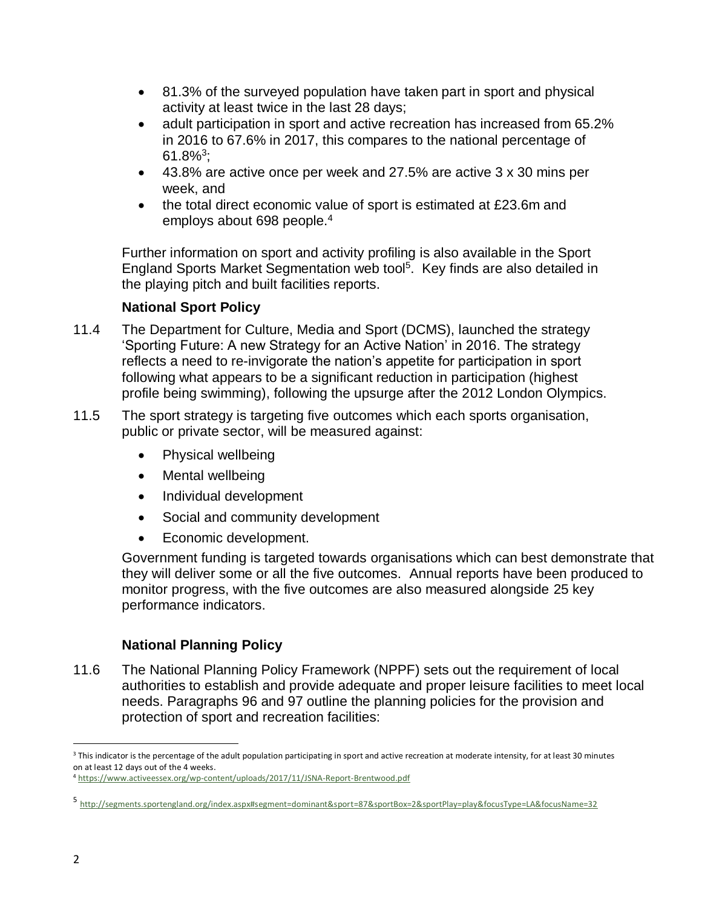- 81.3% of the surveyed population have taken part in sport and physical activity at least twice in the last 28 days;
- adult participation in sport and active recreation has increased from 65.2% in 2016 to 67.6% in 2017, this compares to the national percentage of  $61.8\%$ <sup>3</sup>;
- 43.8% are active once per week and 27.5% are active 3 x 30 mins per week, and
- the total direct economic value of sport is estimated at £23.6m and employs about 698 people.<sup>4</sup>

Further information on sport and activity profiling is also available in the Sport England Sports Market Segmentation web tool<sup>5</sup>. Key finds are also detailed in the playing pitch and built facilities reports.

# **National Sport Policy**

- 11.4 The Department for Culture, Media and Sport (DCMS), launched the strategy 'Sporting Future: A new Strategy for an Active Nation' in 2016. The strategy reflects a need to re-invigorate the nation's appetite for participation in sport following what appears to be a significant reduction in participation (highest profile being swimming), following the upsurge after the 2012 London Olympics.
- 11.5 The sport strategy is targeting five outcomes which each sports organisation, public or private sector, will be measured against:
	- Physical wellbeing
	- Mental wellbeing
	- Individual development
	- Social and community development
	- Economic development.

Government funding is targeted towards organisations which can best demonstrate that they will deliver some or all the five outcomes. Annual reports have been produced to monitor progress, with the five outcomes are also measured alongside 25 key performance indicators.

## **National Planning Policy**

11.6 The National Planning Policy Framework (NPPF) sets out the requirement of local authorities to establish and provide adequate and proper leisure facilities to meet local needs. Paragraphs 96 and 97 outline the planning policies for the provision and protection of sport and recreation facilities:

 $\overline{a}$ <sup>3</sup> This indicator is the percentage of the adult population participating in sport and active recreation at moderate intensity, for at least 30 minutes on at least 12 days out of the 4 weeks.

<sup>4</sup> <https://www.activeessex.org/wp-content/uploads/2017/11/JSNA-Report-Brentwood.pdf>

<sup>5</sup> <http://segments.sportengland.org/index.aspx#segment=dominant&sport=87&sportBox=2&sportPlay=play&focusType=LA&focusName=32>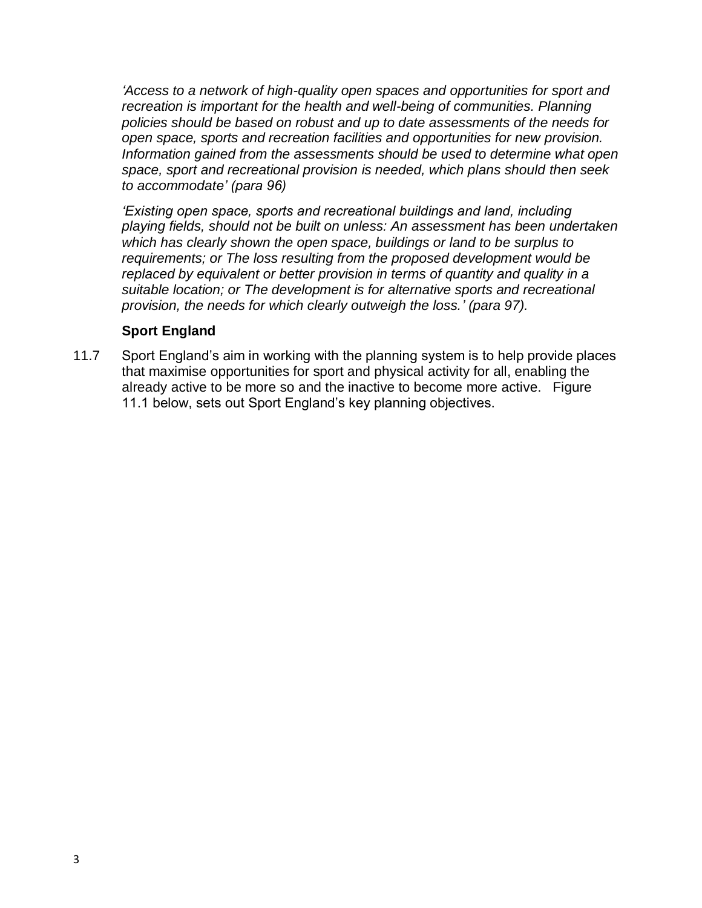*'Access to a network of high-quality open spaces and opportunities for sport and recreation is important for the health and well-being of communities. Planning policies should be based on robust and up to date assessments of the needs for open space, sports and recreation facilities and opportunities for new provision. Information gained from the assessments should be used to determine what open space, sport and recreational provision is needed, which plans should then seek to accommodate' (para 96)*

*'Existing open space, sports and recreational buildings and land, including playing fields, should not be built on unless: An assessment has been undertaken which has clearly shown the open space, buildings or land to be surplus to requirements; or The loss resulting from the proposed development would be replaced by equivalent or better provision in terms of quantity and quality in a suitable location; or The development is for alternative sports and recreational provision, the needs for which clearly outweigh the loss.' (para 97).*

### **Sport England**

11.7 Sport England's aim in working with the planning system is to help provide places that maximise opportunities for sport and physical activity for all, enabling the already active to be more so and the inactive to become more active. Figure 11.1 below, sets out Sport England's key planning objectives.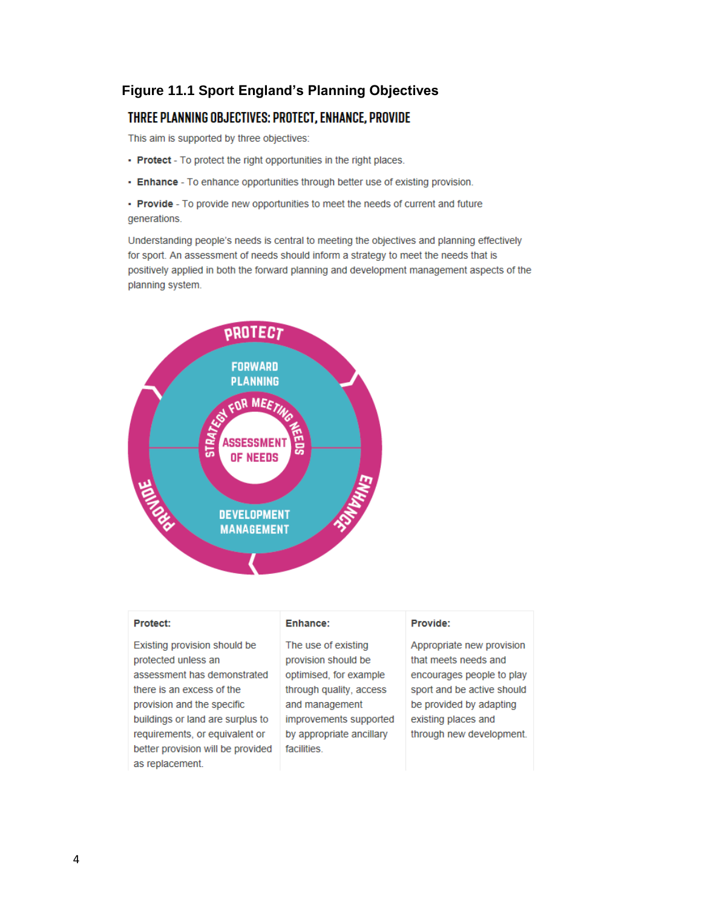# **Figure 11.1 Sport England's Planning Objectives**

# THREE PLANNING OBJECTIVES: PROTECT, ENHANCE, PROVIDE

This aim is supported by three objectives:

- Protect To protect the right opportunities in the right places.
- Enhance To enhance opportunities through better use of existing provision.

• Provide - To provide new opportunities to meet the needs of current and future generations.

Understanding people's needs is central to meeting the objectives and planning effectively for sport. An assessment of needs should inform a strategy to meet the needs that is positively applied in both the forward planning and development management aspects of the planning system.



| <b>Protect:</b>                                                                                                                                                                                                                                          | Enhance:                                                                                                                                                                               | Provide:                                                                                                                                                                                   |
|----------------------------------------------------------------------------------------------------------------------------------------------------------------------------------------------------------------------------------------------------------|----------------------------------------------------------------------------------------------------------------------------------------------------------------------------------------|--------------------------------------------------------------------------------------------------------------------------------------------------------------------------------------------|
| Existing provision should be<br>protected unless an<br>assessment has demonstrated<br>there is an excess of the<br>provision and the specific<br>buildings or land are surplus to<br>requirements, or equivalent or<br>better provision will be provided | The use of existing<br>provision should be<br>optimised, for example<br>through quality, access<br>and management<br>improvements supported<br>by appropriate ancillary<br>facilities. | Appropriate new provision<br>that meets needs and<br>encourages people to play<br>sport and be active should<br>be provided by adapting<br>existing places and<br>through new development. |
| as replacement.                                                                                                                                                                                                                                          |                                                                                                                                                                                        |                                                                                                                                                                                            |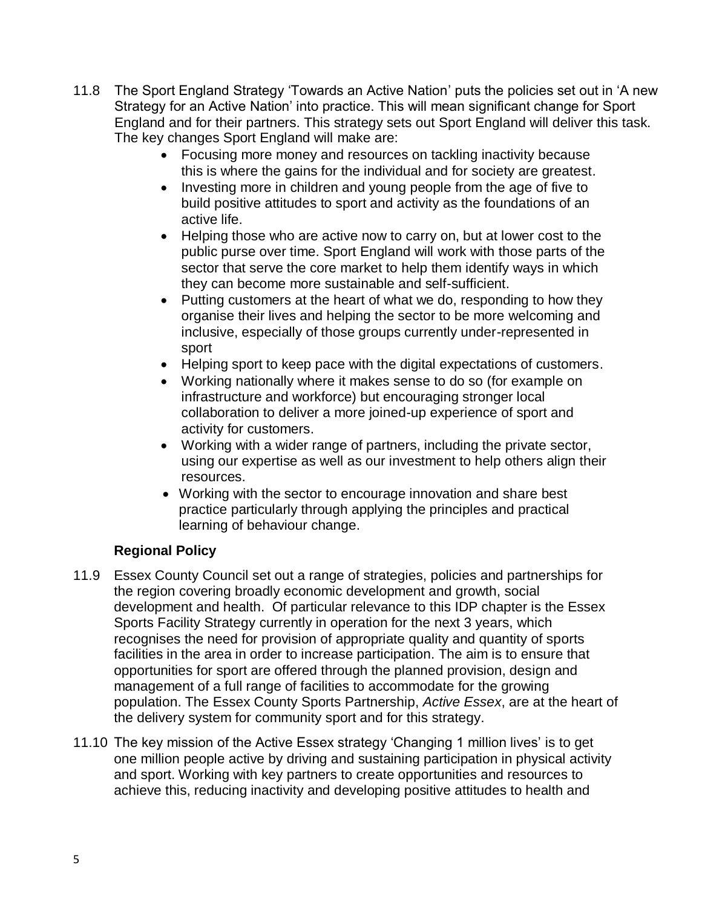- 11.8 The Sport England Strategy 'Towards an Active Nation' puts the policies set out in 'A new Strategy for an Active Nation' into practice. This will mean significant change for Sport England and for their partners. This strategy sets out Sport England will deliver this task. The key changes Sport England will make are:
	- Focusing more money and resources on tackling inactivity because this is where the gains for the individual and for society are greatest.
	- Investing more in children and young people from the age of five to build positive attitudes to sport and activity as the foundations of an active life.
	- Helping those who are active now to carry on, but at lower cost to the public purse over time. Sport England will work with those parts of the sector that serve the core market to help them identify ways in which they can become more sustainable and self-sufficient.
	- Putting customers at the heart of what we do, responding to how they organise their lives and helping the sector to be more welcoming and inclusive, especially of those groups currently under-represented in sport
	- Helping sport to keep pace with the digital expectations of customers.
	- Working nationally where it makes sense to do so (for example on infrastructure and workforce) but encouraging stronger local collaboration to deliver a more joined-up experience of sport and activity for customers.
	- Working with a wider range of partners, including the private sector, using our expertise as well as our investment to help others align their resources.
	- Working with the sector to encourage innovation and share best practice particularly through applying the principles and practical learning of behaviour change.

## **Regional Policy**

- 11.9 Essex County Council set out a range of strategies, policies and partnerships for the region covering broadly economic development and growth, social development and health. Of particular relevance to this IDP chapter is the Essex Sports Facility Strategy currently in operation for the next 3 years, which recognises the need for provision of appropriate quality and quantity of sports facilities in the area in order to increase participation. The aim is to ensure that opportunities for sport are offered through the planned provision, design and management of a full range of facilities to accommodate for the growing population. The Essex County Sports Partnership, *Active Essex*, are at the heart of the delivery system for community sport and for this strategy.
- 11.10 The key mission of the Active Essex strategy 'Changing 1 million lives' is to get one million people active by driving and sustaining participation in physical activity and sport. Working with key partners to create opportunities and resources to achieve this, reducing inactivity and developing positive attitudes to health and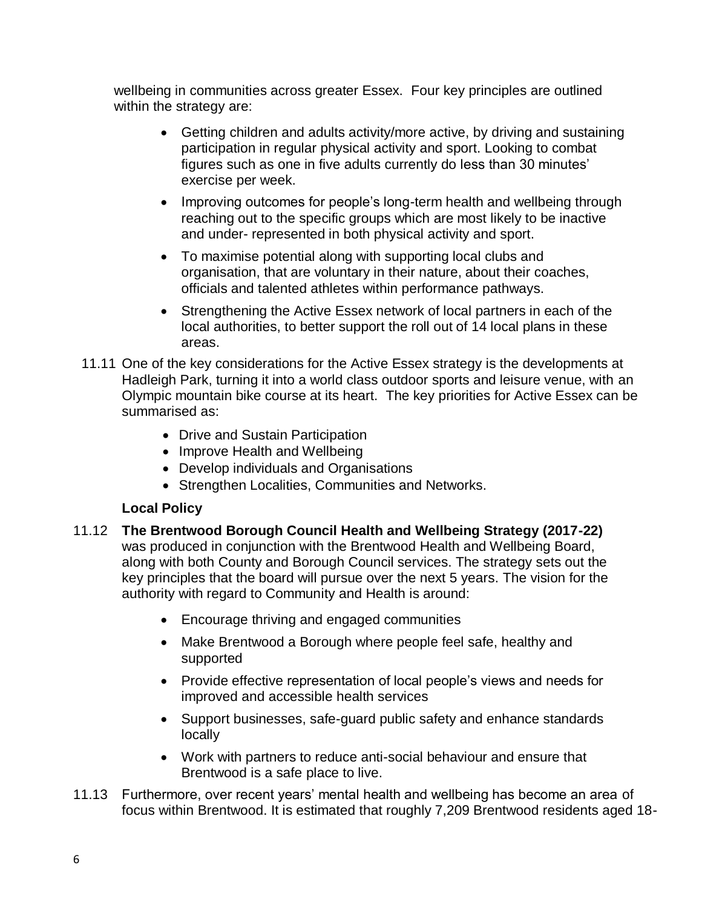wellbeing in communities across greater Essex. Four key principles are outlined within the strategy are:

- Getting children and adults activity/more active, by driving and sustaining participation in regular physical activity and sport. Looking to combat figures such as one in five adults currently do less than 30 minutes' exercise per week.
- Improving outcomes for people's long-term health and wellbeing through reaching out to the specific groups which are most likely to be inactive and under- represented in both physical activity and sport.
- To maximise potential along with supporting local clubs and organisation, that are voluntary in their nature, about their coaches, officials and talented athletes within performance pathways.
- Strengthening the Active Essex network of local partners in each of the local authorities, to better support the roll out of 14 local plans in these areas.
- 11.11 One of the key considerations for the Active Essex strategy is the developments at Hadleigh Park, turning it into a world class outdoor sports and leisure venue, with an Olympic mountain bike course at its heart. The key priorities for Active Essex can be summarised as:
	- Drive and Sustain Participation
	- Improve Health and Wellbeing
	- Develop individuals and Organisations
	- Strengthen Localities, Communities and Networks.

# **Local Policy**

- 11.12 **The Brentwood Borough Council Health and Wellbeing Strategy (2017-22)** was produced in conjunction with the Brentwood Health and Wellbeing Board, along with both County and Borough Council services. The strategy sets out the key principles that the board will pursue over the next 5 years. The vision for the authority with regard to Community and Health is around:
	- Encourage thriving and engaged communities
	- Make Brentwood a Borough where people feel safe, healthy and supported
	- Provide effective representation of local people's views and needs for improved and accessible health services
	- Support businesses, safe-guard public safety and enhance standards locally
	- Work with partners to reduce anti-social behaviour and ensure that Brentwood is a safe place to live.
- 11.13 Furthermore, over recent years' mental health and wellbeing has become an area of focus within Brentwood. It is estimated that roughly 7,209 Brentwood residents aged 18-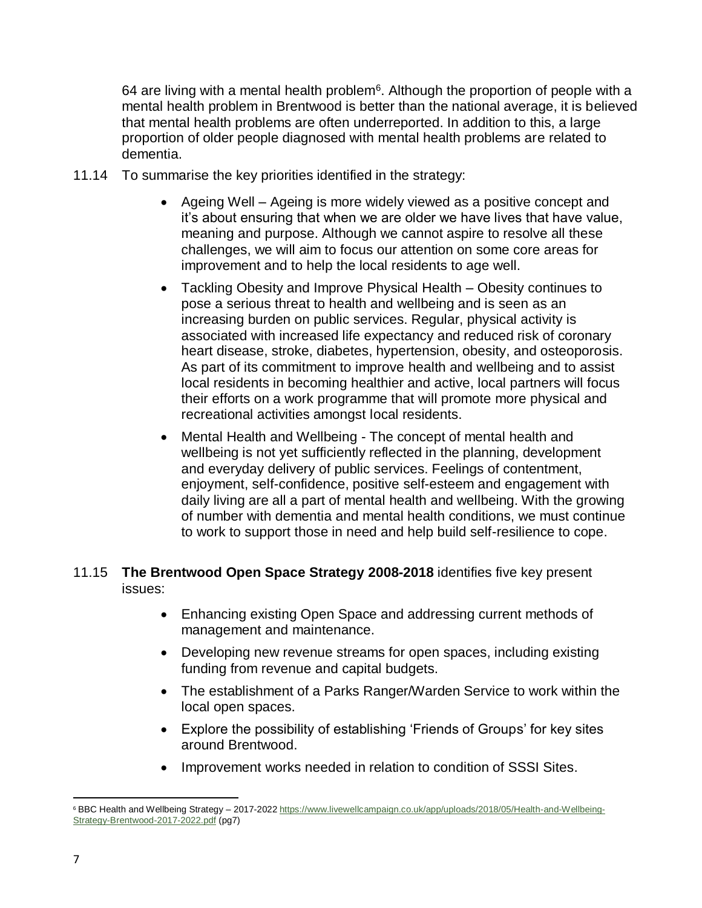64 are living with a mental health problem<sup>6</sup>. Although the proportion of people with a mental health problem in Brentwood is better than the national average, it is believed that mental health problems are often underreported. In addition to this, a large proportion of older people diagnosed with mental health problems are related to dementia.

- 11.14 To summarise the key priorities identified in the strategy:
	- Ageing Well Ageing is more widely viewed as a positive concept and it's about ensuring that when we are older we have lives that have value, meaning and purpose. Although we cannot aspire to resolve all these challenges, we will aim to focus our attention on some core areas for improvement and to help the local residents to age well.
	- Tackling Obesity and Improve Physical Health Obesity continues to pose a serious threat to health and wellbeing and is seen as an increasing burden on public services. Regular, physical activity is associated with increased life expectancy and reduced risk of coronary heart disease, stroke, diabetes, hypertension, obesity, and osteoporosis. As part of its commitment to improve health and wellbeing and to assist local residents in becoming healthier and active, local partners will focus their efforts on a work programme that will promote more physical and recreational activities amongst local residents.
	- Mental Health and Wellbeing The concept of mental health and wellbeing is not yet sufficiently reflected in the planning, development and everyday delivery of public services. Feelings of contentment, enjoyment, self-confidence, positive self-esteem and engagement with daily living are all a part of mental health and wellbeing. With the growing of number with dementia and mental health conditions, we must continue to work to support those in need and help build self-resilience to cope.

### 11.15 **The Brentwood Open Space Strategy 2008-2018** identifies five key present issues:

- Enhancing existing Open Space and addressing current methods of management and maintenance.
- Developing new revenue streams for open spaces, including existing funding from revenue and capital budgets.
- The establishment of a Parks Ranger/Warden Service to work within the local open spaces.
- Explore the possibility of establishing 'Friends of Groups' for key sites around Brentwood.
- Improvement works needed in relation to condition of SSSI Sites.

 $\overline{\phantom{a}}$ <sup>6</sup> BBC Health and Wellbeing Strategy – 2017-2022 [https://www.livewellcampaign.co.uk/app/uploads/2018/05/Health-and-Wellbeing-](https://www.livewellcampaign.co.uk/app/uploads/2018/05/Health-and-Wellbeing-Strategy-Brentwood-2017-2022.pdf)[Strategy-Brentwood-2017-2022.pdf](https://www.livewellcampaign.co.uk/app/uploads/2018/05/Health-and-Wellbeing-Strategy-Brentwood-2017-2022.pdf) (pg7)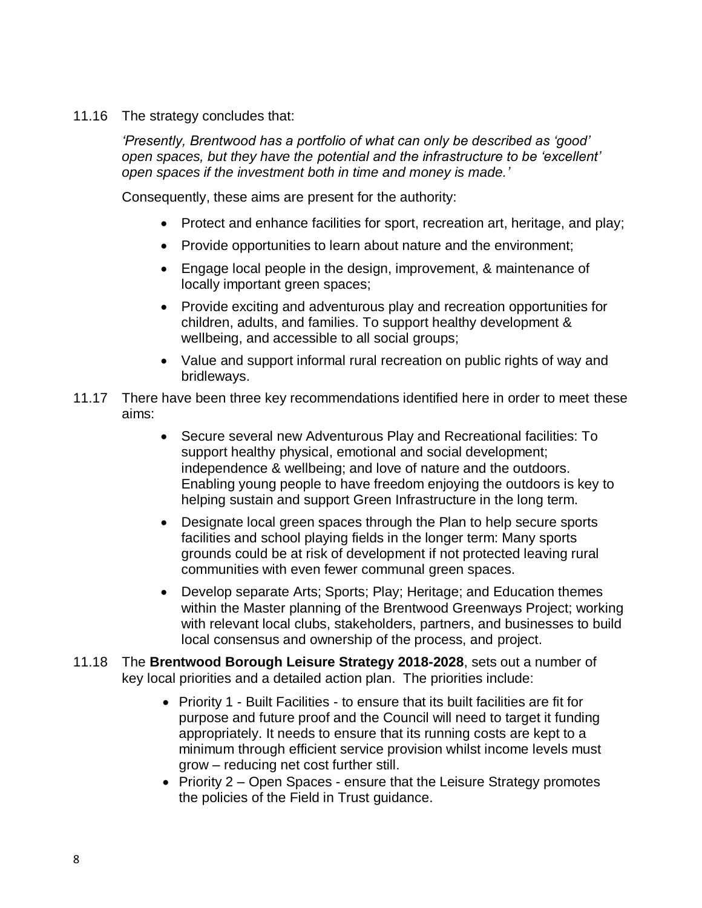11.16 The strategy concludes that:

*'Presently, Brentwood has a portfolio of what can only be described as 'good' open spaces, but they have the potential and the infrastructure to be 'excellent' open spaces if the investment both in time and money is made.'*

Consequently, these aims are present for the authority:

- Protect and enhance facilities for sport, recreation art, heritage, and play;
- Provide opportunities to learn about nature and the environment;
- Engage local people in the design, improvement, & maintenance of locally important green spaces;
- Provide exciting and adventurous play and recreation opportunities for children, adults, and families. To support healthy development & wellbeing, and accessible to all social groups;
- Value and support informal rural recreation on public rights of way and bridleways.
- 11.17 There have been three key recommendations identified here in order to meet these aims:
	- Secure several new Adventurous Play and Recreational facilities: To support healthy physical, emotional and social development; independence & wellbeing; and love of nature and the outdoors. Enabling young people to have freedom enjoying the outdoors is key to helping sustain and support Green Infrastructure in the long term.
	- Designate local green spaces through the Plan to help secure sports facilities and school playing fields in the longer term: Many sports grounds could be at risk of development if not protected leaving rural communities with even fewer communal green spaces.
	- Develop separate Arts; Sports; Play; Heritage; and Education themes within the Master planning of the Brentwood Greenways Project; working with relevant local clubs, stakeholders, partners, and businesses to build local consensus and ownership of the process, and project.
- 11.18 The **Brentwood Borough Leisure Strategy 2018-2028**, sets out a number of key local priorities and a detailed action plan. The priorities include:
	- Priority 1 Built Facilities to ensure that its built facilities are fit for purpose and future proof and the Council will need to target it funding appropriately. It needs to ensure that its running costs are kept to a minimum through efficient service provision whilst income levels must grow – reducing net cost further still.
	- Priority 2 Open Spaces ensure that the Leisure Strategy promotes the policies of the Field in Trust guidance.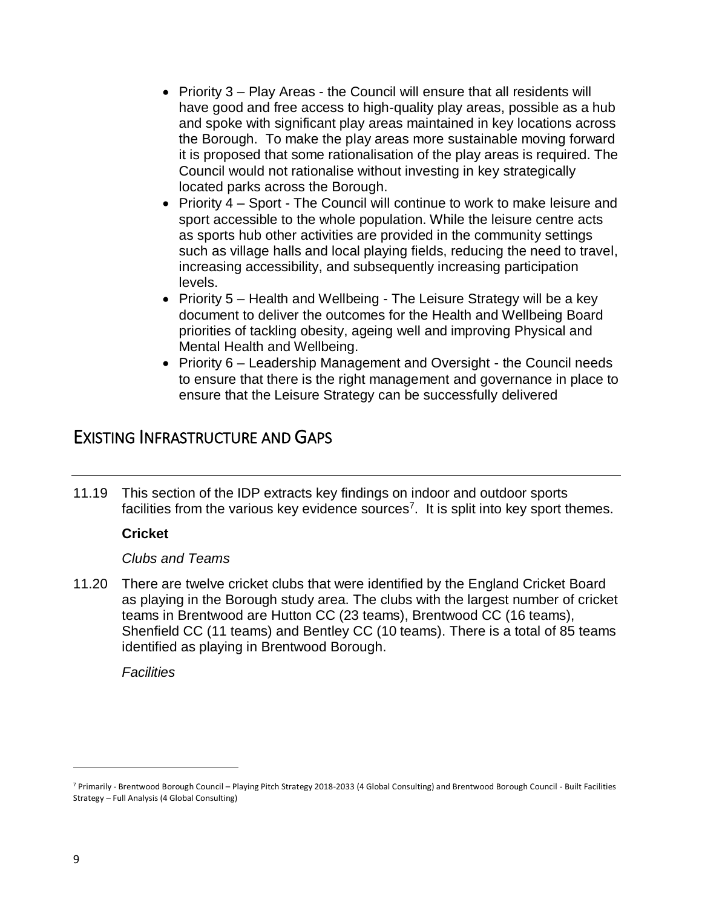- Priority 3 Play Areas the Council will ensure that all residents will have good and free access to high-quality play areas, possible as a hub and spoke with significant play areas maintained in key locations across the Borough. To make the play areas more sustainable moving forward it is proposed that some rationalisation of the play areas is required. The Council would not rationalise without investing in key strategically located parks across the Borough.
- Priority 4 Sport The Council will continue to work to make leisure and sport accessible to the whole population. While the leisure centre acts as sports hub other activities are provided in the community settings such as village halls and local playing fields, reducing the need to travel, increasing accessibility, and subsequently increasing participation levels.
- Priority 5 Health and Wellbeing The Leisure Strategy will be a key document to deliver the outcomes for the Health and Wellbeing Board priorities of tackling obesity, ageing well and improving Physical and Mental Health and Wellbeing.
- Priority 6 Leadership Management and Oversight the Council needs to ensure that there is the right management and governance in place to ensure that the Leisure Strategy can be successfully delivered

# EXISTING INFRASTRUCTURE AND GAPS

11.19 This section of the IDP extracts key findings on indoor and outdoor sports facilities from the various key evidence sources<sup>7</sup>. It is split into key sport themes.

## **Cricket**

## *Clubs and Teams*

11.20 There are twelve cricket clubs that were identified by the England Cricket Board as playing in the Borough study area. The clubs with the largest number of cricket teams in Brentwood are Hutton CC (23 teams), Brentwood CC (16 teams), Shenfield CC (11 teams) and Bentley CC (10 teams). There is a total of 85 teams identified as playing in Brentwood Borough.

*Facilities*

 $\overline{a}$ 

<sup>7</sup> Primarily - Brentwood Borough Council – Playing Pitch Strategy 2018-2033 (4 Global Consulting) and Brentwood Borough Council - Built Facilities Strategy – Full Analysis (4 Global Consulting)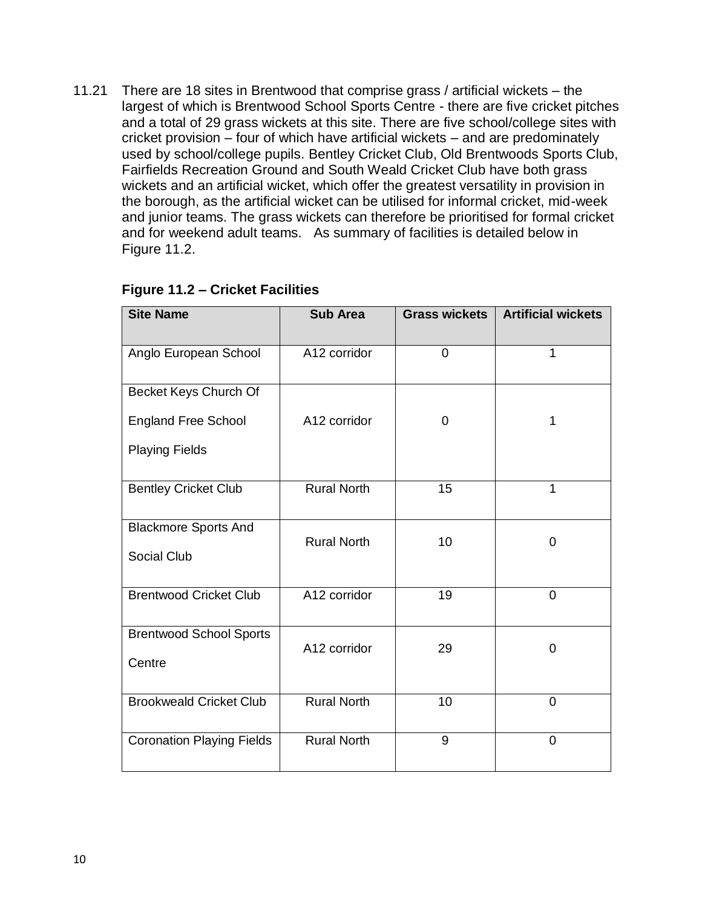11.21 There are 18 sites in Brentwood that comprise grass / artificial wickets – the largest of which is Brentwood School Sports Centre - there are five cricket pitches and a total of 29 grass wickets at this site. There are five school/college sites with cricket provision – four of which have artificial wickets – and are predominately used by school/college pupils. Bentley Cricket Club, Old Brentwoods Sports Club, Fairfields Recreation Ground and South Weald Cricket Club have both grass wickets and an artificial wicket, which offer the greatest versatility in provision in the borough, as the artificial wicket can be utilised for informal cricket, mid-week and junior teams. The grass wickets can therefore be prioritised for formal cricket and for weekend adult teams. As summary of facilities is detailed below in Figure 11.2.

| <b>Site Name</b>                 | <b>Sub Area</b>    | <b>Grass wickets</b> | <b>Artificial wickets</b> |  |
|----------------------------------|--------------------|----------------------|---------------------------|--|
| Anglo European School            | A12 corridor       | $\overline{0}$       | 1                         |  |
| Becket Keys Church Of            |                    |                      |                           |  |
| <b>England Free School</b>       | A12 corridor       | 0                    | 1                         |  |
| <b>Playing Fields</b>            |                    |                      |                           |  |
| <b>Bentley Cricket Club</b>      | <b>Rural North</b> | 15                   | 1                         |  |
| <b>Blackmore Sports And</b>      | <b>Rural North</b> | 10                   | $\overline{0}$            |  |
| <b>Social Club</b>               |                    |                      |                           |  |
| <b>Brentwood Cricket Club</b>    | A12 corridor       | 19                   | $\overline{0}$            |  |
| <b>Brentwood School Sports</b>   | A12 corridor       | 29                   | $\Omega$                  |  |
| Centre                           |                    |                      |                           |  |
| <b>Brookweald Cricket Club</b>   | <b>Rural North</b> | 10                   | 0                         |  |
| <b>Coronation Playing Fields</b> | <b>Rural North</b> | 9                    | 0                         |  |

# **Figure 11.2 – Cricket Facilities**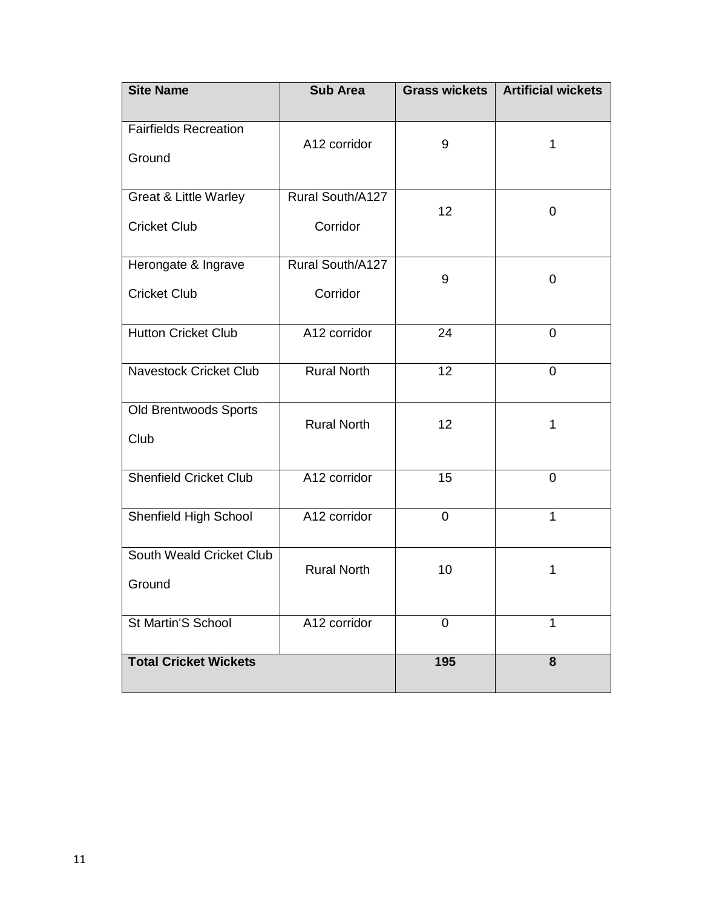| <b>Site Name</b>                                        | <b>Sub Area</b>              | <b>Grass wickets</b> | <b>Artificial wickets</b> |
|---------------------------------------------------------|------------------------------|----------------------|---------------------------|
| <b>Fairfields Recreation</b><br>Ground                  | A12 corridor                 | 9                    | 1                         |
| <b>Great &amp; Little Warley</b><br><b>Cricket Club</b> | Rural South/A127<br>Corridor | 12                   | $\overline{0}$            |
| Herongate & Ingrave<br><b>Cricket Club</b>              | Rural South/A127<br>Corridor | 9                    | 0                         |
| <b>Hutton Cricket Club</b>                              | A12 corridor                 | 24                   | $\overline{0}$            |
| <b>Navestock Cricket Club</b>                           | <b>Rural North</b><br>12     |                      | $\overline{0}$            |
| Old Brentwoods Sports<br>Club                           | <b>Rural North</b>           | 12                   | 1                         |
| <b>Shenfield Cricket Club</b>                           | A12 corridor                 | 15                   | 0                         |
| Shenfield High School                                   | A12 corridor                 | 0                    | $\mathbf{1}$              |
| South Weald Cricket Club<br>Ground                      | <b>Rural North</b>           | 10                   | 1                         |
| St Martin'S School                                      | A12 corridor                 | 0                    | 1                         |
| <b>Total Cricket Wickets</b>                            |                              | 195                  | 8                         |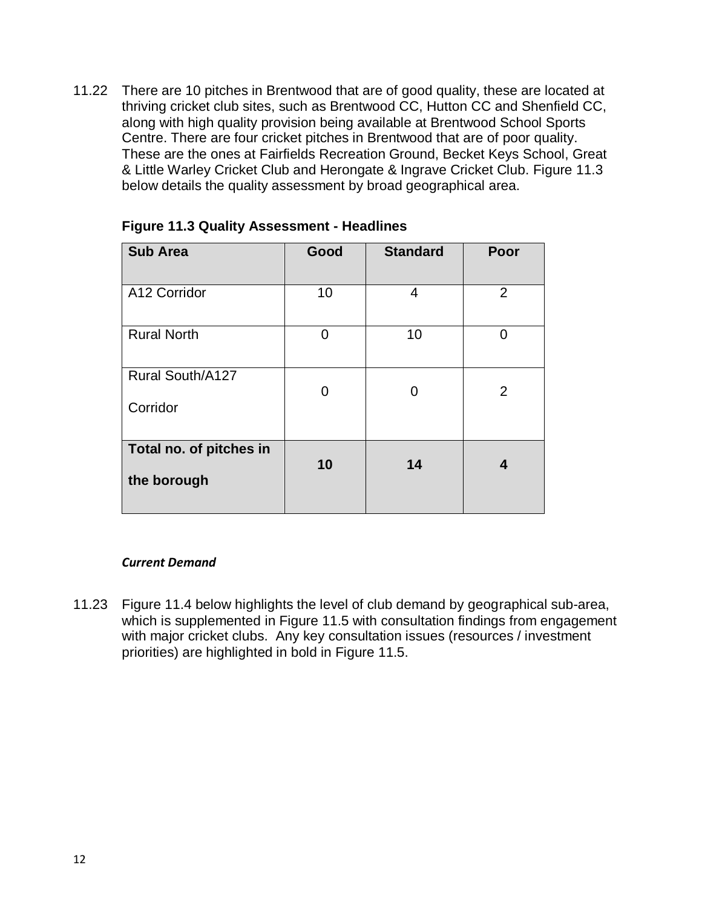11.22 There are 10 pitches in Brentwood that are of good quality, these are located at thriving cricket club sites, such as Brentwood CC, Hutton CC and Shenfield CC, along with high quality provision being available at Brentwood School Sports Centre. There are four cricket pitches in Brentwood that are of poor quality. These are the ones at Fairfields Recreation Ground, Becket Keys School, Great & Little Warley Cricket Club and Herongate & Ingrave Cricket Club. Figure 11.3 below details the quality assessment by broad geographical area.

| <b>Sub Area</b>                        | Good    | <b>Standard</b> | Poor           |  |
|----------------------------------------|---------|-----------------|----------------|--|
| A12 Corridor                           | 10      | 4               | $\overline{2}$ |  |
| <b>Rural North</b>                     | 10<br>0 |                 | O              |  |
| Rural South/A127<br>Corridor           | 0       | 0               | $\overline{2}$ |  |
|                                        |         |                 |                |  |
| Total no. of pitches in<br>the borough | 10      | 14              | 4              |  |

#### **Figure 11.3 Quality Assessment - Headlines**

#### *Current Demand*

11.23 Figure 11.4 below highlights the level of club demand by geographical sub-area, which is supplemented in Figure 11.5 with consultation findings from engagement with major cricket clubs. Any key consultation issues (resources / investment priorities) are highlighted in bold in Figure 11.5.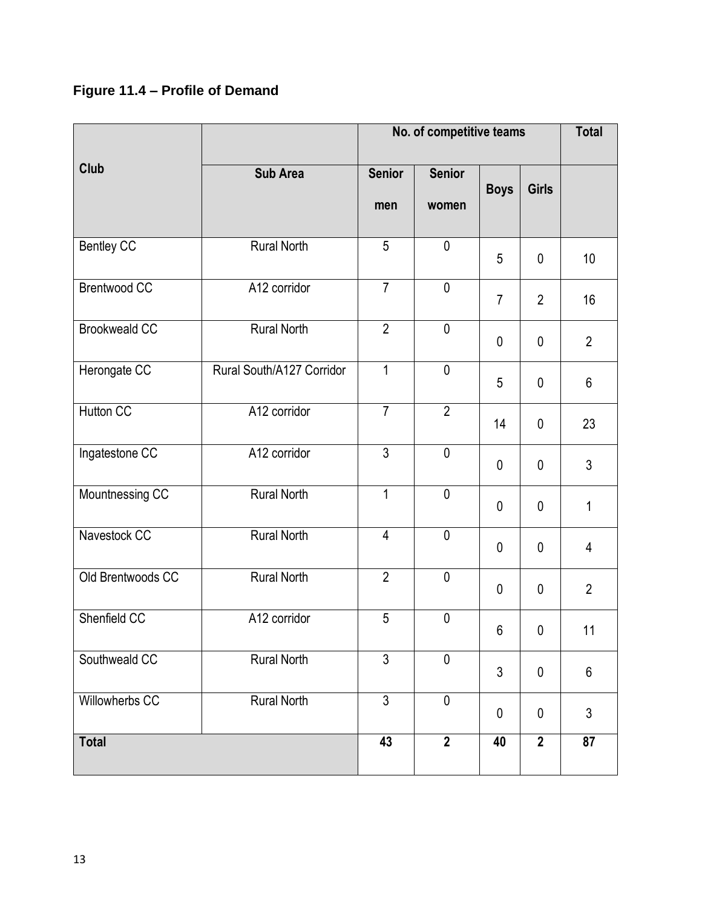# **Figure 11.4 – Profile of Demand**

|                                     |                    | No. of competitive teams |                        |                |                | <b>Total</b>   |
|-------------------------------------|--------------------|--------------------------|------------------------|----------------|----------------|----------------|
| Club                                | <b>Sub Area</b>    | <b>Senior</b><br>men     | <b>Senior</b><br>women | <b>Boys</b>    | Girls          |                |
| <b>Bentley CC</b>                   | <b>Rural North</b> | 5                        | $\mathbf 0$            | 5              | $\mathbf 0$    | 10             |
| <b>Brentwood CC</b>                 | A12 corridor       | $\overline{7}$           | $\mathbf 0$            | $\overline{7}$ | $\overline{2}$ | 16             |
| <b>Brookweald CC</b>                | $\overline{2}$     | $\mathbf 0$              | $\mathbf 0$            | $\mathbf 0$    | $\overline{2}$ |                |
| Herongate CC                        | $\mathbf 1$        | $\mathbf 0$              | 5<br>$\mathbf 0$       |                | 6              |                |
| Hutton CC<br>A12 corridor           |                    | $\overline{7}$           | $\overline{2}$         | 14             | 0              | 23             |
| Ingatestone CC                      | A12 corridor       |                          | $\mathbf 0$            | $\mathbf 0$    | $\mathbf 0$    | $\mathfrak{Z}$ |
| Mountnessing CC<br>Rural North      |                    | $\overline{1}$           | $\mathbf 0$            | $\mathbf 0$    | $\mathbf 0$    | 1              |
| Navestock CC<br><b>Rural North</b>  |                    | $\overline{4}$           | $\mathbf 0$            | $\mathbf 0$    | $\mathbf 0$    | 4              |
| Old Brentwoods CC                   | <b>Rural North</b> |                          | $\mathbf 0$            | $\mathbf 0$    | $\mathbf 0$    | $\overline{2}$ |
| Shenfield CC<br>A12 corridor        |                    | 5                        | $\mathbf 0$            | 6              | $\mathbf 0$    | 11             |
| Southweald CC<br><b>Rural North</b> |                    | $\overline{3}$           | 0                      | 3              | 0              | $6\phantom{1}$ |
| Willowherbs CC                      | <b>Rural North</b> | $\overline{3}$           | $\mathbf 0$            | 0              | $\mathbf 0$    | $\mathfrak{Z}$ |
| <b>Total</b>                        |                    | 43                       | $\overline{2}$         | 40             | $\overline{2}$ | 87             |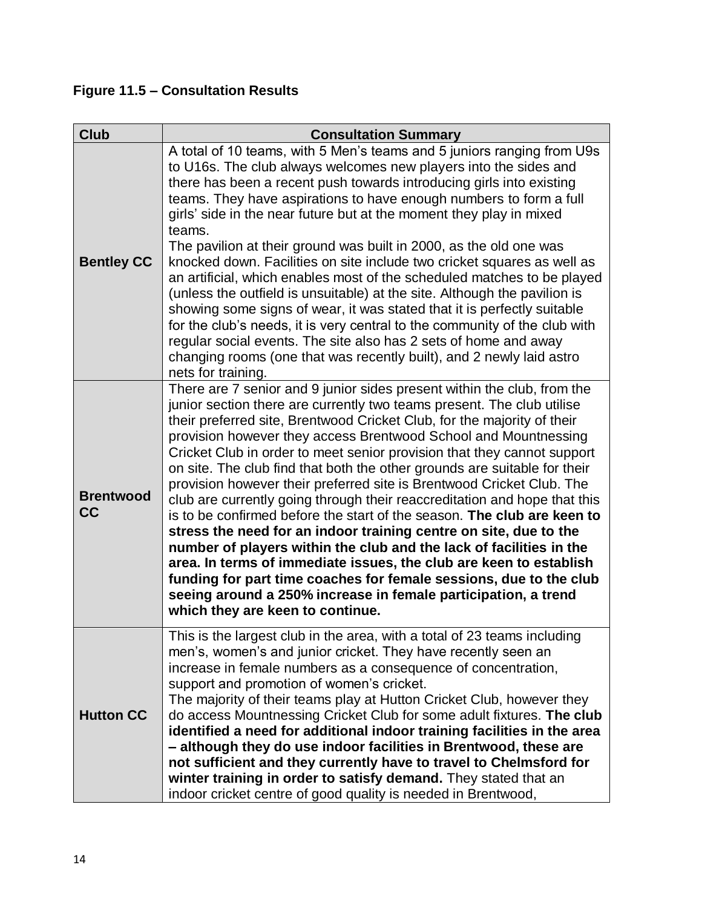**Figure 11.5 – Consultation Results**

| <b>Club</b>            | <b>Consultation Summary</b>                                                                                                                                                                                                                                                                                                                                                                                                                                                                                                                                                                                                                                                                                                                                                                                                                                                                                                                                                                                                                                                            |
|------------------------|----------------------------------------------------------------------------------------------------------------------------------------------------------------------------------------------------------------------------------------------------------------------------------------------------------------------------------------------------------------------------------------------------------------------------------------------------------------------------------------------------------------------------------------------------------------------------------------------------------------------------------------------------------------------------------------------------------------------------------------------------------------------------------------------------------------------------------------------------------------------------------------------------------------------------------------------------------------------------------------------------------------------------------------------------------------------------------------|
| <b>Bentley CC</b>      | A total of 10 teams, with 5 Men's teams and 5 juniors ranging from U9s<br>to U16s. The club always welcomes new players into the sides and<br>there has been a recent push towards introducing girls into existing<br>teams. They have aspirations to have enough numbers to form a full<br>girls' side in the near future but at the moment they play in mixed<br>teams.<br>The pavilion at their ground was built in 2000, as the old one was<br>knocked down. Facilities on site include two cricket squares as well as<br>an artificial, which enables most of the scheduled matches to be played<br>(unless the outfield is unsuitable) at the site. Although the pavilion is<br>showing some signs of wear, it was stated that it is perfectly suitable<br>for the club's needs, it is very central to the community of the club with<br>regular social events. The site also has 2 sets of home and away<br>changing rooms (one that was recently built), and 2 newly laid astro<br>nets for training.                                                                          |
| <b>Brentwood</b><br>cc | There are 7 senior and 9 junior sides present within the club, from the<br>junior section there are currently two teams present. The club utilise<br>their preferred site, Brentwood Cricket Club, for the majority of their<br>provision however they access Brentwood School and Mountnessing<br>Cricket Club in order to meet senior provision that they cannot support<br>on site. The club find that both the other grounds are suitable for their<br>provision however their preferred site is Brentwood Cricket Club. The<br>club are currently going through their reaccreditation and hope that this<br>is to be confirmed before the start of the season. The club are keen to<br>stress the need for an indoor training centre on site, due to the<br>number of players within the club and the lack of facilities in the<br>area. In terms of immediate issues, the club are keen to establish<br>funding for part time coaches for female sessions, due to the club<br>seeing around a 250% increase in female participation, a trend<br>which they are keen to continue. |
| <b>Hutton CC</b>       | This is the largest club in the area, with a total of 23 teams including<br>men's, women's and junior cricket. They have recently seen an<br>increase in female numbers as a consequence of concentration,<br>support and promotion of women's cricket.<br>The majority of their teams play at Hutton Cricket Club, however they<br>do access Mountnessing Cricket Club for some adult fixtures. The club<br>identified a need for additional indoor training facilities in the area<br>- although they do use indoor facilities in Brentwood, these are<br>not sufficient and they currently have to travel to Chelmsford for<br>winter training in order to satisfy demand. They stated that an<br>indoor cricket centre of good quality is needed in Brentwood,                                                                                                                                                                                                                                                                                                                     |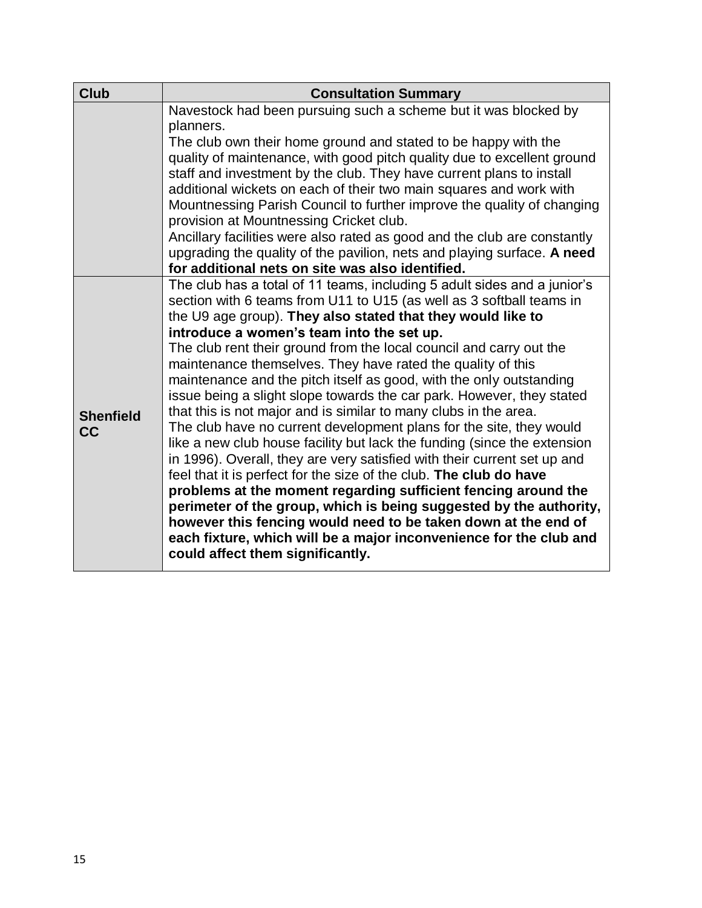| <b>Club</b>                   | <b>Consultation Summary</b>                                                                                                                                                                                                                                                                                                                                                                                                                                                                                                                                                                                                                                                                                                                                                                                                                                                                                                                                                                                                                                                                                                                                                               |
|-------------------------------|-------------------------------------------------------------------------------------------------------------------------------------------------------------------------------------------------------------------------------------------------------------------------------------------------------------------------------------------------------------------------------------------------------------------------------------------------------------------------------------------------------------------------------------------------------------------------------------------------------------------------------------------------------------------------------------------------------------------------------------------------------------------------------------------------------------------------------------------------------------------------------------------------------------------------------------------------------------------------------------------------------------------------------------------------------------------------------------------------------------------------------------------------------------------------------------------|
|                               | Navestock had been pursuing such a scheme but it was blocked by<br>planners.                                                                                                                                                                                                                                                                                                                                                                                                                                                                                                                                                                                                                                                                                                                                                                                                                                                                                                                                                                                                                                                                                                              |
|                               | The club own their home ground and stated to be happy with the<br>quality of maintenance, with good pitch quality due to excellent ground<br>staff and investment by the club. They have current plans to install<br>additional wickets on each of their two main squares and work with<br>Mountnessing Parish Council to further improve the quality of changing<br>provision at Mountnessing Cricket club.<br>Ancillary facilities were also rated as good and the club are constantly<br>upgrading the quality of the pavilion, nets and playing surface. A need                                                                                                                                                                                                                                                                                                                                                                                                                                                                                                                                                                                                                       |
| <b>Shenfield</b><br><b>CC</b> | for additional nets on site was also identified.<br>The club has a total of 11 teams, including 5 adult sides and a junior's<br>section with 6 teams from U11 to U15 (as well as 3 softball teams in<br>the U9 age group). They also stated that they would like to<br>introduce a women's team into the set up.<br>The club rent their ground from the local council and carry out the<br>maintenance themselves. They have rated the quality of this<br>maintenance and the pitch itself as good, with the only outstanding<br>issue being a slight slope towards the car park. However, they stated<br>that this is not major and is similar to many clubs in the area.<br>The club have no current development plans for the site, they would<br>like a new club house facility but lack the funding (since the extension<br>in 1996). Overall, they are very satisfied with their current set up and<br>feel that it is perfect for the size of the club. The club do have<br>problems at the moment regarding sufficient fencing around the<br>perimeter of the group, which is being suggested by the authority,<br>however this fencing would need to be taken down at the end of |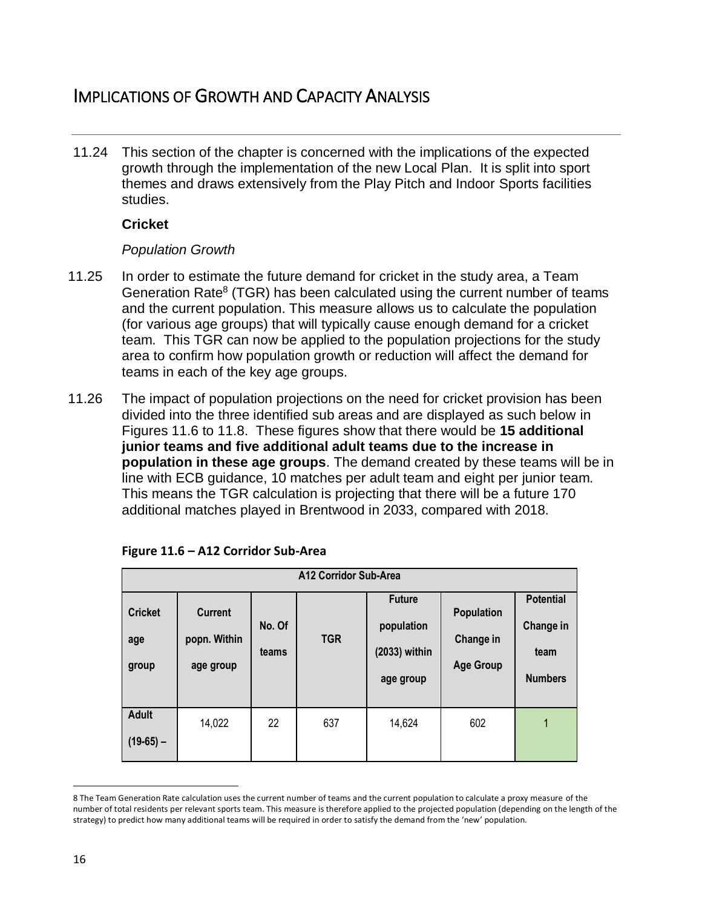# IMPLICATIONS OF GROWTH AND CAPACITY ANALYSIS

11.24 This section of the chapter is concerned with the implications of the expected growth through the implementation of the new Local Plan. It is split into sport themes and draws extensively from the Play Pitch and Indoor Sports facilities studies.

#### **Cricket**

#### *Population Growth*

- 11.25 In order to estimate the future demand for cricket in the study area, a Team Generation Rate<sup>8</sup> (TGR) has been calculated using the current number of teams and the current population. This measure allows us to calculate the population (for various age groups) that will typically cause enough demand for a cricket team. This TGR can now be applied to the population projections for the study area to confirm how population growth or reduction will affect the demand for teams in each of the key age groups.
- 11.26 The impact of population projections on the need for cricket provision has been divided into the three identified sub areas and are displayed as such below in Figures 11.6 to 11.8. These figures show that there would be **15 additional junior teams and five additional adult teams due to the increase in population in these age groups**. The demand created by these teams will be in line with ECB guidance, 10 matches per adult team and eight per junior team. This means the TGR calculation is projecting that there will be a future 170 additional matches played in Brentwood in 2033, compared with 2018.

|                                | A12 Corridor Sub-Area                       |                 |            |                                                             |                                                    |                                                         |  |  |  |
|--------------------------------|---------------------------------------------|-----------------|------------|-------------------------------------------------------------|----------------------------------------------------|---------------------------------------------------------|--|--|--|
| <b>Cricket</b><br>age<br>group | <b>Current</b><br>popn. Within<br>age group | No. Of<br>teams | <b>TGR</b> | <b>Future</b><br>population<br>$(2033)$ within<br>age group | <b>Population</b><br>Change in<br><b>Age Group</b> | <b>Potential</b><br>Change in<br>team<br><b>Numbers</b> |  |  |  |
| <b>Adult</b><br>$(19-65)$ –    | 14,022                                      | 22              | 637        | 14,624                                                      | 602                                                | 1                                                       |  |  |  |

| Figure 11.6 - A12 Corridor Sub-Area |
|-------------------------------------|
|-------------------------------------|

 $\overline{a}$ 8 The Team Generation Rate calculation uses the current number of teams and the current population to calculate a proxy measure of the number of total residents per relevant sports team. This measure is therefore applied to the projected population (depending on the length of the strategy) to predict how many additional teams will be required in order to satisfy the demand from the 'new' population.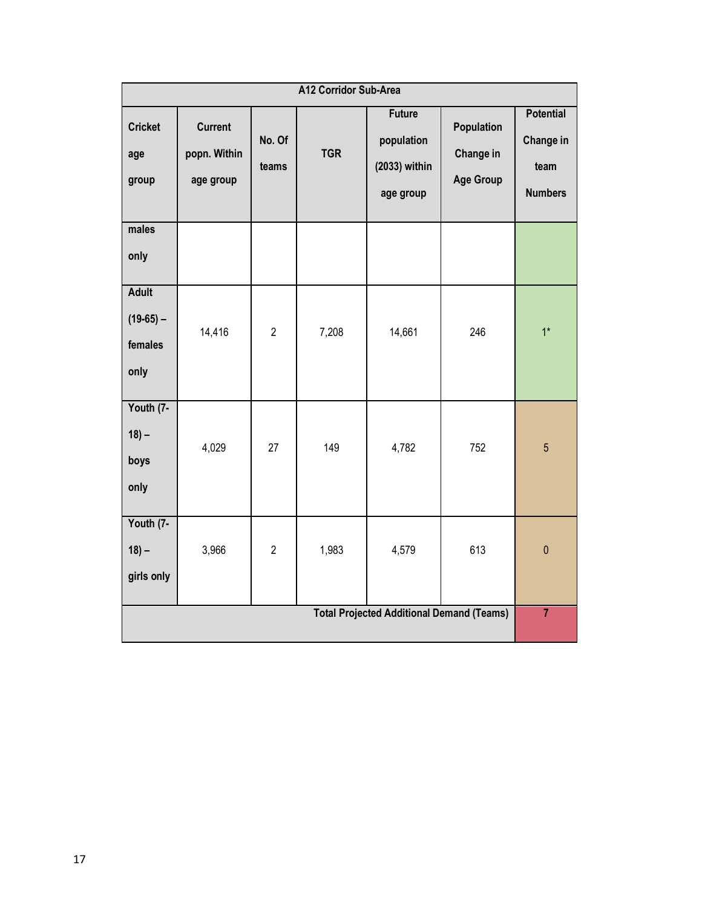| A12 Corridor Sub-Area                            |                                             |                 |            |                                                           |                                             |                                                         |  |
|--------------------------------------------------|---------------------------------------------|-----------------|------------|-----------------------------------------------------------|---------------------------------------------|---------------------------------------------------------|--|
| <b>Cricket</b><br>age<br>group                   | <b>Current</b><br>popn. Within<br>age group | No. Of<br>teams | <b>TGR</b> | <b>Future</b><br>population<br>(2033) within<br>age group | Population<br>Change in<br><b>Age Group</b> | <b>Potential</b><br>Change in<br>team<br><b>Numbers</b> |  |
| males<br>only                                    |                                             |                 |            |                                                           |                                             |                                                         |  |
| <b>Adult</b><br>$(19-65) -$<br>females<br>only   | 14,416                                      | $\overline{2}$  | 7,208      | 14,661                                                    | 246                                         | $1^*$                                                   |  |
| Youth (7-<br>$18 -$<br>boys<br>only              | 4,029                                       | 27              | 149        | 4,782                                                     | 752                                         | $5\overline{)}$                                         |  |
| Youth (7-<br>$18 -$<br>girls only                | 3,966                                       | $\overline{2}$  | 1,983      | 4,579                                                     | 613                                         | $\pmb{0}$                                               |  |
| <b>Total Projected Additional Demand (Teams)</b> |                                             |                 |            |                                                           |                                             |                                                         |  |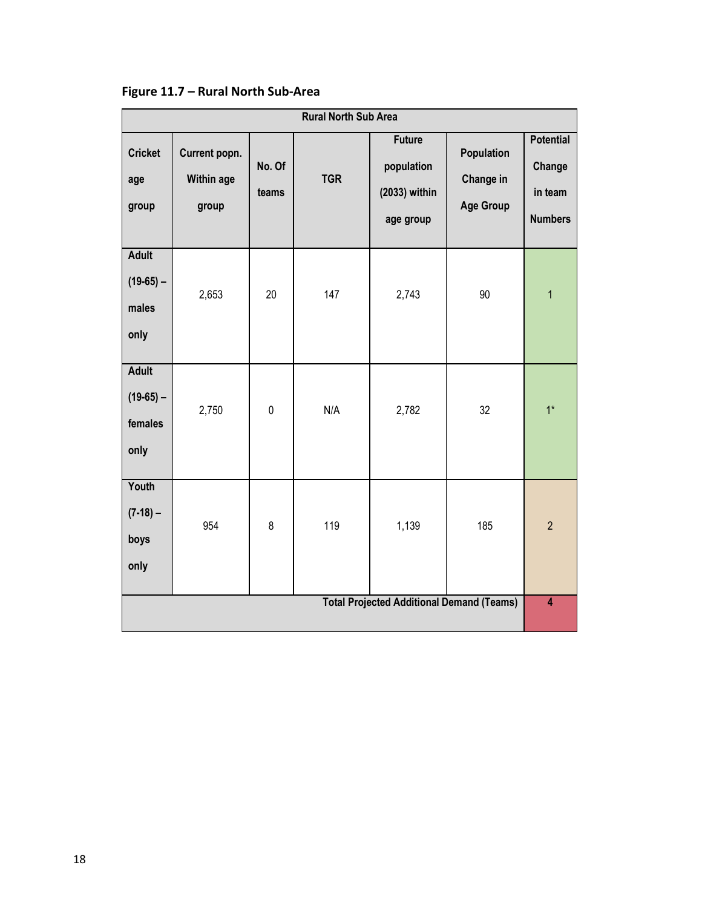| <b>Rural North Sub Area</b>                    |                                             |                 |            |                                                           |                                             |                                                         |  |
|------------------------------------------------|---------------------------------------------|-----------------|------------|-----------------------------------------------------------|---------------------------------------------|---------------------------------------------------------|--|
| <b>Cricket</b><br>age<br>group                 | Current popn.<br><b>Within age</b><br>group | No. Of<br>teams | <b>TGR</b> | <b>Future</b><br>population<br>(2033) within<br>age group | Population<br>Change in<br><b>Age Group</b> | <b>Potential</b><br>Change<br>in team<br><b>Numbers</b> |  |
| <b>Adult</b><br>$(19-65) -$<br>males<br>only   | 2,653                                       | 20              | 147        | 2,743                                                     | 90                                          | $\mathbf{1}$                                            |  |
| <b>Adult</b><br>$(19-65) -$<br>females<br>only | 2,750                                       | $\pmb{0}$       | N/A        | 2,782                                                     | 32                                          | $1^*$                                                   |  |
| Youth<br>$(7-18) -$<br>boys<br>only            | 954                                         | 8               | 119        | 1,139                                                     | 185                                         | $\overline{2}$                                          |  |
|                                                |                                             |                 |            | <b>Total Projected Additional Demand (Teams)</b>          |                                             | $\overline{4}$                                          |  |

**Figure 11.7 – Rural North Sub-Area**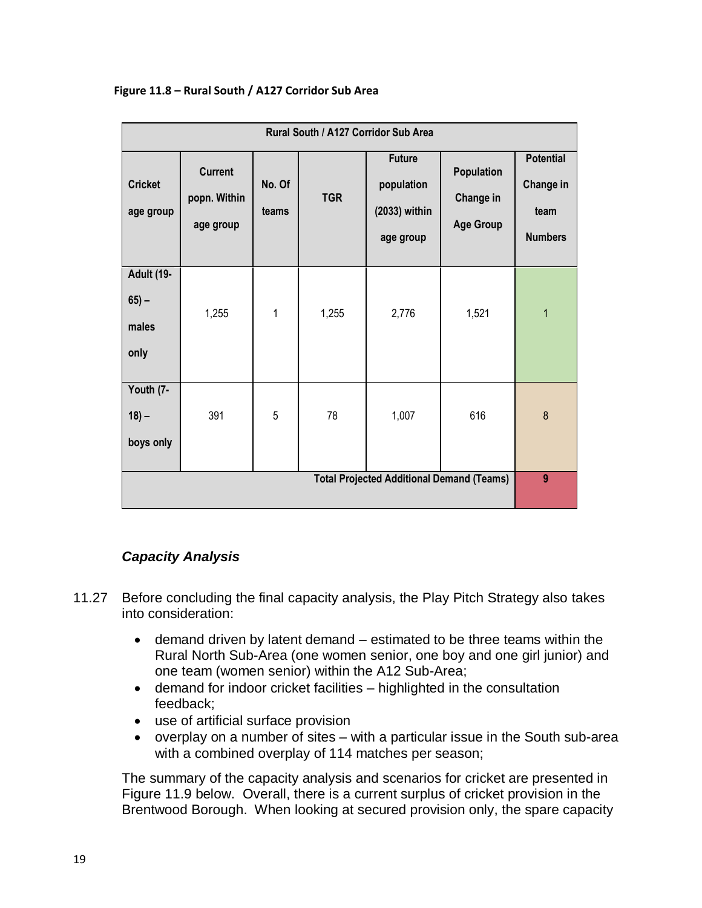| Rural South / A127 Corridor Sub Area         |                                                  |                 |            |                                                           |                                             |                                                         |  |  |
|----------------------------------------------|--------------------------------------------------|-----------------|------------|-----------------------------------------------------------|---------------------------------------------|---------------------------------------------------------|--|--|
| <b>Cricket</b><br>age group                  | <b>Current</b><br>popn. Within<br>age group      | No. Of<br>teams | <b>TGR</b> | <b>Future</b><br>population<br>(2033) within<br>age group | Population<br>Change in<br><b>Age Group</b> | <b>Potential</b><br>Change in<br>team<br><b>Numbers</b> |  |  |
| <b>Adult (19-</b><br>$65 -$<br>males<br>only | 1,255                                            | $\mathbf{1}$    | 1,255      | 2,776                                                     | 1,521                                       | 1                                                       |  |  |
| Youth (7-<br>$18 -$<br>boys only             | 391                                              | 5               | 78         | 1,007                                                     | 616                                         | $\boldsymbol{8}$                                        |  |  |
|                                              | <b>Total Projected Additional Demand (Teams)</b> |                 |            |                                                           |                                             |                                                         |  |  |

#### **Figure 11.8 – Rural South / A127 Corridor Sub Area**

#### *Capacity Analysis*

- 11.27 Before concluding the final capacity analysis, the Play Pitch Strategy also takes into consideration:
	- demand driven by latent demand estimated to be three teams within the Rural North Sub-Area (one women senior, one boy and one girl junior) and one team (women senior) within the A12 Sub-Area;
	- demand for indoor cricket facilities highlighted in the consultation feedback;
	- use of artificial surface provision
	- overplay on a number of sites with a particular issue in the South sub-area with a combined overplay of 114 matches per season;

The summary of the capacity analysis and scenarios for cricket are presented in Figure 11.9 below. Overall, there is a current surplus of cricket provision in the Brentwood Borough. When looking at secured provision only, the spare capacity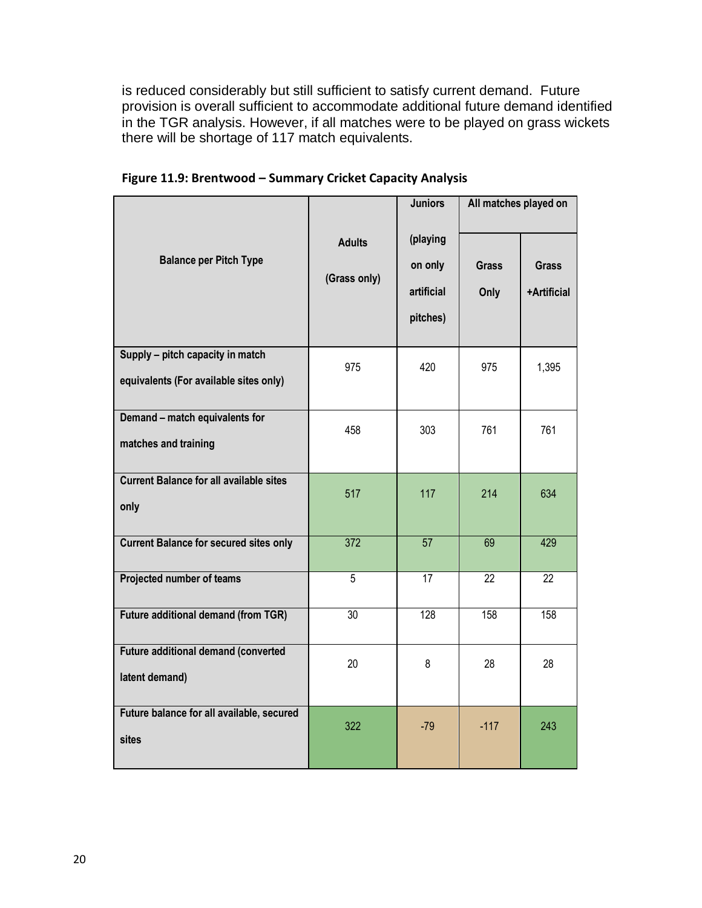is reduced considerably but still sufficient to satisfy current demand. Future provision is overall sufficient to accommodate additional future demand identified in the TGR analysis. However, if all matches were to be played on grass wickets there will be shortage of 117 match equivalents.

|                                                                            |                               | <b>Juniors</b>                                | All matches played on |                             |
|----------------------------------------------------------------------------|-------------------------------|-----------------------------------------------|-----------------------|-----------------------------|
| <b>Balance per Pitch Type</b>                                              | <b>Adults</b><br>(Grass only) | (playing<br>on only<br>artificial<br>pitches) | <b>Grass</b><br>Only  | <b>Grass</b><br>+Artificial |
| Supply - pitch capacity in match<br>equivalents (For available sites only) | 975                           | 420                                           | 975                   | 1,395                       |
| Demand - match equivalents for<br>matches and training                     | 458                           | 303                                           | 761                   | 761                         |
| <b>Current Balance for all available sites</b><br>only                     | 517                           | 117                                           | 214                   | 634                         |
| <b>Current Balance for secured sites only</b>                              | 372                           | 57                                            | 69                    | 429                         |
| Projected number of teams                                                  | 5                             | 17                                            | 22                    | 22                          |
| <b>Future additional demand (from TGR)</b>                                 | $\overline{30}$               | 128                                           | 158                   | 158                         |
| Future additional demand (converted<br>latent demand)                      | 20                            | 8                                             | 28                    | 28                          |
| Future balance for all available, secured<br>sites                         | 322                           | $-79$                                         | $-117$                | 243                         |

**Figure 11.9: Brentwood – Summary Cricket Capacity Analysis**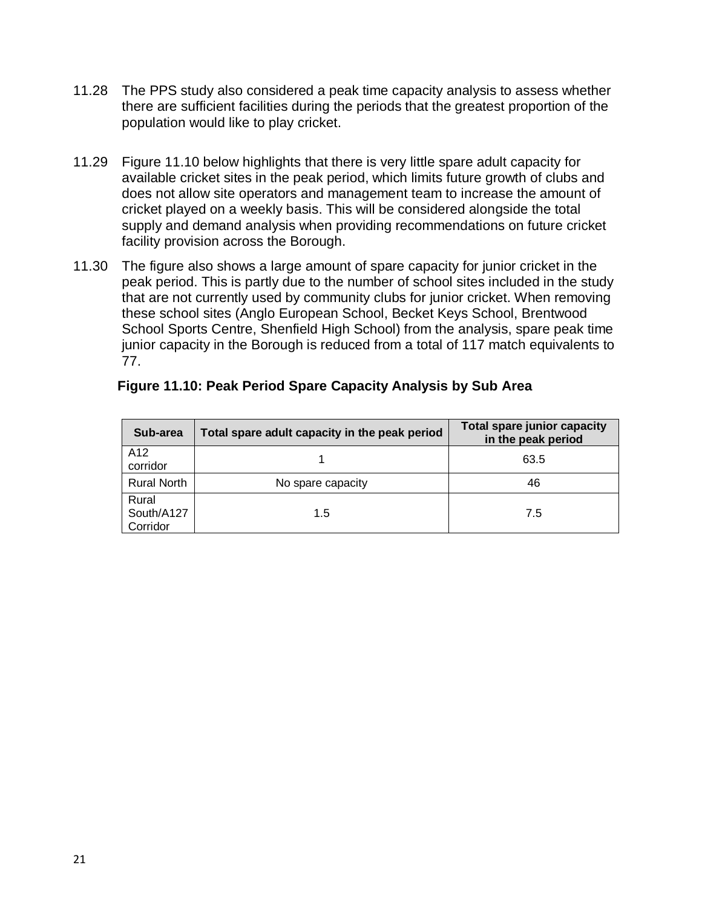- 11.28 The PPS study also considered a peak time capacity analysis to assess whether there are sufficient facilities during the periods that the greatest proportion of the population would like to play cricket.
- 11.29 Figure 11.10 below highlights that there is very little spare adult capacity for available cricket sites in the peak period, which limits future growth of clubs and does not allow site operators and management team to increase the amount of cricket played on a weekly basis. This will be considered alongside the total supply and demand analysis when providing recommendations on future cricket facility provision across the Borough.
- 11.30 The figure also shows a large amount of spare capacity for junior cricket in the peak period. This is partly due to the number of school sites included in the study that are not currently used by community clubs for junior cricket. When removing these school sites (Anglo European School, Becket Keys School, Brentwood School Sports Centre, Shenfield High School) from the analysis, spare peak time junior capacity in the Borough is reduced from a total of 117 match equivalents to 77.

| Sub-area                        | Total spare adult capacity in the peak period | <b>Total spare junior capacity</b><br>in the peak period |
|---------------------------------|-----------------------------------------------|----------------------------------------------------------|
| A <sub>12</sub><br>corridor     |                                               | 63.5                                                     |
| <b>Rural North</b>              | No spare capacity                             | 46                                                       |
| Rural<br>South/A127<br>Corridor | 1.5                                           | 7.5                                                      |

#### **Figure 11.10: Peak Period Spare Capacity Analysis by Sub Area**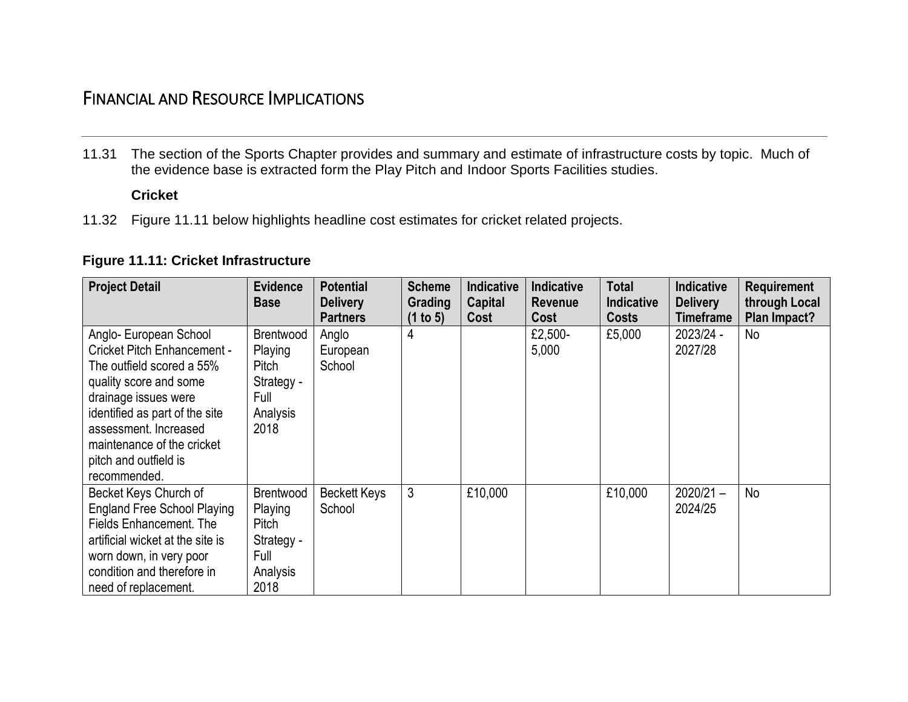# FINANCIAL AND RESOURCE IMPLICATIONS

11.31 The section of the Sports Chapter provides and summary and estimate of infrastructure costs by topic. Much of the evidence base is extracted form the Play Pitch and Indoor Sports Facilities studies.

### **Cricket**

11.32 Figure 11.11 below highlights headline cost estimates for cricket related projects.

#### **Figure 11.11: Cricket Infrastructure**

| <b>Project Detail</b>                                                                                                                                                                                                                                                         | <b>Evidence</b><br><b>Base</b>                                          | <b>Potential</b><br><b>Delivery</b> | <b>Scheme</b><br>Grading | <b>Indicative</b><br>Capital | <b>Indicative</b><br><b>Revenue</b> | Total<br>Indicative | <b>Indicative</b><br><b>Delivery</b> | Requirement<br>through Local |
|-------------------------------------------------------------------------------------------------------------------------------------------------------------------------------------------------------------------------------------------------------------------------------|-------------------------------------------------------------------------|-------------------------------------|--------------------------|------------------------------|-------------------------------------|---------------------|--------------------------------------|------------------------------|
|                                                                                                                                                                                                                                                                               |                                                                         | <b>Partners</b>                     | (1 to 5)                 | Cost                         | Cost                                | <b>Costs</b>        | Timeframe                            | Plan Impact?                 |
| Anglo- European School<br><b>Cricket Pitch Enhancement -</b><br>The outfield scored a 55%<br>quality score and some<br>drainage issues were<br>identified as part of the site<br>assessment. Increased<br>maintenance of the cricket<br>pitch and outfield is<br>recommended. | Brentwood<br>Playing<br>Pitch<br>Strategy -<br>Full<br>Analysis<br>2018 | Anglo<br>European<br>School         | 4                        |                              | £2,500-<br>5,000                    | £5,000              | 2023/24 -<br>2027/28                 | No                           |
| Becket Keys Church of<br><b>England Free School Playing</b><br>Fields Enhancement. The<br>artificial wicket at the site is<br>worn down, in very poor<br>condition and therefore in<br>need of replacement.                                                                   | Brentwood<br>Playing<br>Pitch<br>Strategy -<br>Full<br>Analysis<br>2018 | Beckett Keys<br>School              | 3                        | £10,000                      |                                     | £10,000             | $2020/21 -$<br>2024/25               | No                           |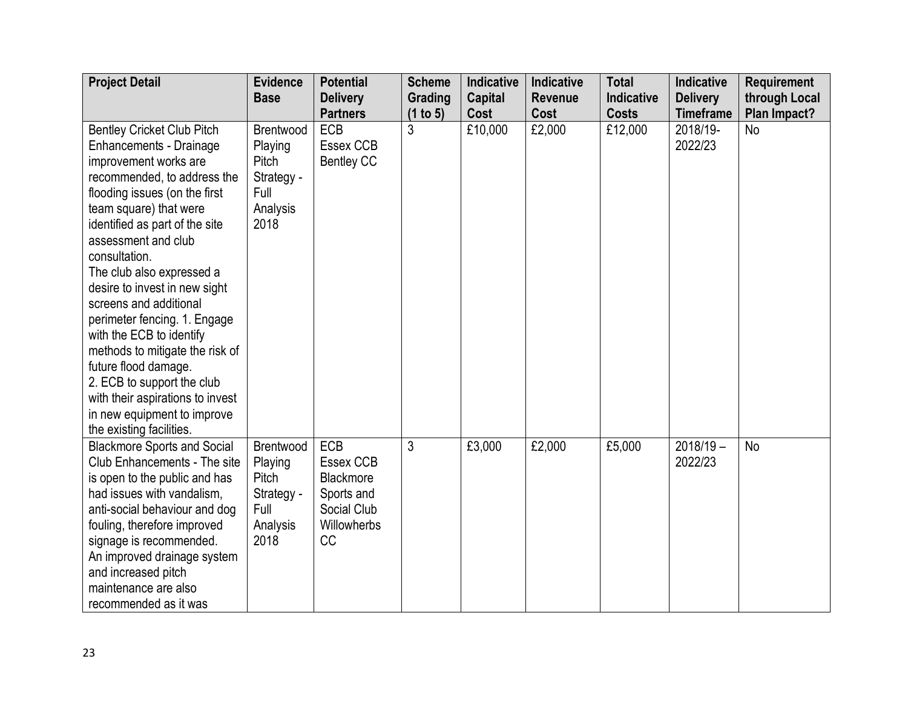| <b>Project Detail</b>              | <b>Evidence</b> | <b>Potential</b>  | <b>Scheme</b> | <b>Indicative</b> | Indicative     | <b>Total</b> | Indicative       | <b>Requirement</b> |
|------------------------------------|-----------------|-------------------|---------------|-------------------|----------------|--------------|------------------|--------------------|
|                                    | <b>Base</b>     | <b>Delivery</b>   | Grading       | <b>Capital</b>    | <b>Revenue</b> | Indicative   | <b>Delivery</b>  | through Local      |
|                                    |                 | <b>Partners</b>   | (1 to 5)      | Cost              | Cost           | <b>Costs</b> | <b>Timeframe</b> | Plan Impact?       |
| <b>Bentley Cricket Club Pitch</b>  | Brentwood       | ECB               | 3             | £10,000           | £2,000         | £12,000      | 2018/19-         | <b>No</b>          |
| Enhancements - Drainage            | Playing         | Essex CCB         |               |                   |                |              | 2022/23          |                    |
| improvement works are              | Pitch           | <b>Bentley CC</b> |               |                   |                |              |                  |                    |
| recommended, to address the        | Strategy -      |                   |               |                   |                |              |                  |                    |
| flooding issues (on the first      | Full            |                   |               |                   |                |              |                  |                    |
| team square) that were             | Analysis        |                   |               |                   |                |              |                  |                    |
| identified as part of the site     | 2018            |                   |               |                   |                |              |                  |                    |
| assessment and club                |                 |                   |               |                   |                |              |                  |                    |
| consultation.                      |                 |                   |               |                   |                |              |                  |                    |
| The club also expressed a          |                 |                   |               |                   |                |              |                  |                    |
| desire to invest in new sight      |                 |                   |               |                   |                |              |                  |                    |
| screens and additional             |                 |                   |               |                   |                |              |                  |                    |
| perimeter fencing. 1. Engage       |                 |                   |               |                   |                |              |                  |                    |
| with the ECB to identify           |                 |                   |               |                   |                |              |                  |                    |
| methods to mitigate the risk of    |                 |                   |               |                   |                |              |                  |                    |
| future flood damage.               |                 |                   |               |                   |                |              |                  |                    |
| 2. ECB to support the club         |                 |                   |               |                   |                |              |                  |                    |
| with their aspirations to invest   |                 |                   |               |                   |                |              |                  |                    |
| in new equipment to improve        |                 |                   |               |                   |                |              |                  |                    |
| the existing facilities.           |                 |                   |               |                   |                |              |                  |                    |
| <b>Blackmore Sports and Social</b> | Brentwood       | ECB               | 3             | £3,000            | £2,000         | £5,000       | $2018/19 -$      | <b>No</b>          |
| Club Enhancements - The site       | Playing         | Essex CCB         |               |                   |                |              | 2022/23          |                    |
| is open to the public and has      | Pitch           | Blackmore         |               |                   |                |              |                  |                    |
| had issues with vandalism,         | Strategy -      | Sports and        |               |                   |                |              |                  |                    |
| anti-social behaviour and dog      | Full            | Social Club       |               |                   |                |              |                  |                    |
| fouling, therefore improved        | Analysis        | Willowherbs       |               |                   |                |              |                  |                    |
| signage is recommended.            | 2018            | CC                |               |                   |                |              |                  |                    |
| An improved drainage system        |                 |                   |               |                   |                |              |                  |                    |
| and increased pitch                |                 |                   |               |                   |                |              |                  |                    |
| maintenance are also               |                 |                   |               |                   |                |              |                  |                    |
| recommended as it was              |                 |                   |               |                   |                |              |                  |                    |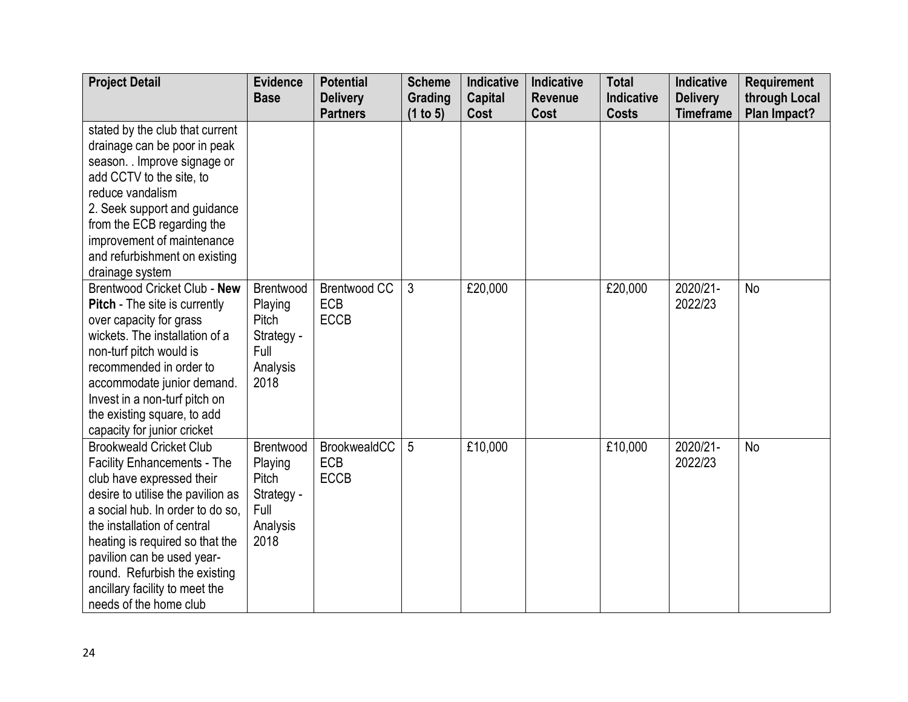| <b>Project Detail</b>                | <b>Evidence</b> | <b>Potential</b>                   | <b>Scheme</b>       | Indicative             | Indicative             | <b>Total</b>               | <b>Indicative</b>                   | <b>Requirement</b>            |
|--------------------------------------|-----------------|------------------------------------|---------------------|------------------------|------------------------|----------------------------|-------------------------------------|-------------------------------|
|                                      | <b>Base</b>     | <b>Delivery</b><br><b>Partners</b> | Grading<br>(1 to 5) | <b>Capital</b><br>Cost | <b>Revenue</b><br>Cost | Indicative<br><b>Costs</b> | <b>Delivery</b><br><b>Timeframe</b> | through Local<br>Plan Impact? |
| stated by the club that current      |                 |                                    |                     |                        |                        |                            |                                     |                               |
| drainage can be poor in peak         |                 |                                    |                     |                        |                        |                            |                                     |                               |
| season. . Improve signage or         |                 |                                    |                     |                        |                        |                            |                                     |                               |
| add CCTV to the site, to             |                 |                                    |                     |                        |                        |                            |                                     |                               |
| reduce vandalism                     |                 |                                    |                     |                        |                        |                            |                                     |                               |
| 2. Seek support and guidance         |                 |                                    |                     |                        |                        |                            |                                     |                               |
| from the ECB regarding the           |                 |                                    |                     |                        |                        |                            |                                     |                               |
| improvement of maintenance           |                 |                                    |                     |                        |                        |                            |                                     |                               |
| and refurbishment on existing        |                 |                                    |                     |                        |                        |                            |                                     |                               |
| drainage system                      |                 |                                    |                     |                        |                        |                            |                                     |                               |
| Brentwood Cricket Club - New         | Brentwood       | Brentwood CC                       | 3                   | £20,000                |                        | £20,000                    | 2020/21-                            | No                            |
| <b>Pitch</b> - The site is currently | Playing         | <b>ECB</b>                         |                     |                        |                        |                            | 2022/23                             |                               |
| over capacity for grass              | Pitch           | <b>ECCB</b>                        |                     |                        |                        |                            |                                     |                               |
| wickets. The installation of a       | Strategy -      |                                    |                     |                        |                        |                            |                                     |                               |
| non-turf pitch would is              | Full            |                                    |                     |                        |                        |                            |                                     |                               |
| recommended in order to              | Analysis        |                                    |                     |                        |                        |                            |                                     |                               |
| accommodate junior demand.           | 2018            |                                    |                     |                        |                        |                            |                                     |                               |
| Invest in a non-turf pitch on        |                 |                                    |                     |                        |                        |                            |                                     |                               |
| the existing square, to add          |                 |                                    |                     |                        |                        |                            |                                     |                               |
| capacity for junior cricket          |                 |                                    |                     |                        |                        |                            |                                     |                               |
| <b>Brookweald Cricket Club</b>       | Brentwood       | BrookwealdCC                       | 5                   | £10,000                |                        | £10,000                    | 2020/21-                            | <b>No</b>                     |
| <b>Facility Enhancements - The</b>   | Playing         | <b>ECB</b>                         |                     |                        |                        |                            | 2022/23                             |                               |
| club have expressed their            | Pitch           | <b>ECCB</b>                        |                     |                        |                        |                            |                                     |                               |
| desire to utilise the pavilion as    | Strategy -      |                                    |                     |                        |                        |                            |                                     |                               |
| a social hub. In order to do so,     | Full            |                                    |                     |                        |                        |                            |                                     |                               |
| the installation of central          | Analysis        |                                    |                     |                        |                        |                            |                                     |                               |
| heating is required so that the      | 2018            |                                    |                     |                        |                        |                            |                                     |                               |
| pavilion can be used year-           |                 |                                    |                     |                        |                        |                            |                                     |                               |
| round. Refurbish the existing        |                 |                                    |                     |                        |                        |                            |                                     |                               |
| ancillary facility to meet the       |                 |                                    |                     |                        |                        |                            |                                     |                               |
| needs of the home club               |                 |                                    |                     |                        |                        |                            |                                     |                               |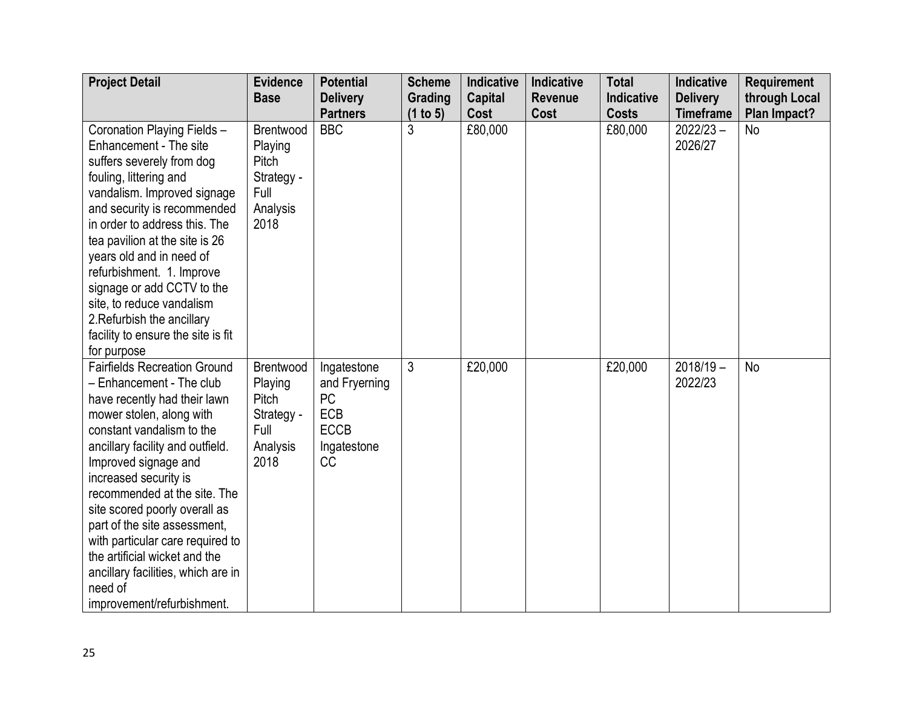| <b>Project Detail</b>                                                                                                                                                                                                                                                                                                                                                                                                                                                                              | <b>Evidence</b><br><b>Base</b>                                          | <b>Potential</b><br><b>Delivery</b>                                                                | <b>Scheme</b><br>Grading | Indicative<br><b>Capital</b> | Indicative<br><b>Revenue</b> | <b>Total</b><br><b>Indicative</b> | Indicative<br><b>Delivery</b> | <b>Requirement</b><br>through Local |
|----------------------------------------------------------------------------------------------------------------------------------------------------------------------------------------------------------------------------------------------------------------------------------------------------------------------------------------------------------------------------------------------------------------------------------------------------------------------------------------------------|-------------------------------------------------------------------------|----------------------------------------------------------------------------------------------------|--------------------------|------------------------------|------------------------------|-----------------------------------|-------------------------------|-------------------------------------|
|                                                                                                                                                                                                                                                                                                                                                                                                                                                                                                    |                                                                         | <b>Partners</b>                                                                                    | (1 to 5)                 | Cost                         | Cost                         | <b>Costs</b>                      | <b>Timeframe</b>              | Plan Impact?                        |
| Coronation Playing Fields -<br>Enhancement - The site<br>suffers severely from dog<br>fouling, littering and<br>vandalism. Improved signage<br>and security is recommended<br>in order to address this. The<br>tea pavilion at the site is 26<br>years old and in need of<br>refurbishment. 1. Improve<br>signage or add CCTV to the<br>site, to reduce vandalism<br>2. Refurbish the ancillary<br>facility to ensure the site is fit<br>for purpose                                               | Brentwood<br>Playing<br>Pitch<br>Strategy -<br>Full<br>Analysis<br>2018 | <b>BBC</b>                                                                                         | 3                        | £80,000                      |                              | £80,000                           | $2022/23 -$<br>2026/27        | <b>No</b>                           |
| <b>Fairfields Recreation Ground</b><br>- Enhancement - The club<br>have recently had their lawn<br>mower stolen, along with<br>constant vandalism to the<br>ancillary facility and outfield.<br>Improved signage and<br>increased security is<br>recommended at the site. The<br>site scored poorly overall as<br>part of the site assessment,<br>with particular care required to<br>the artificial wicket and the<br>ancillary facilities, which are in<br>need of<br>improvement/refurbishment. | Brentwood<br>Playing<br>Pitch<br>Strategy -<br>Full<br>Analysis<br>2018 | Ingatestone<br>and Fryerning<br><b>PC</b><br><b>ECB</b><br><b>ECCB</b><br>Ingatestone<br><b>CC</b> | $\mathfrak{Z}$           | £20,000                      |                              | £20,000                           | $2018/19 -$<br>2022/23        | <b>No</b>                           |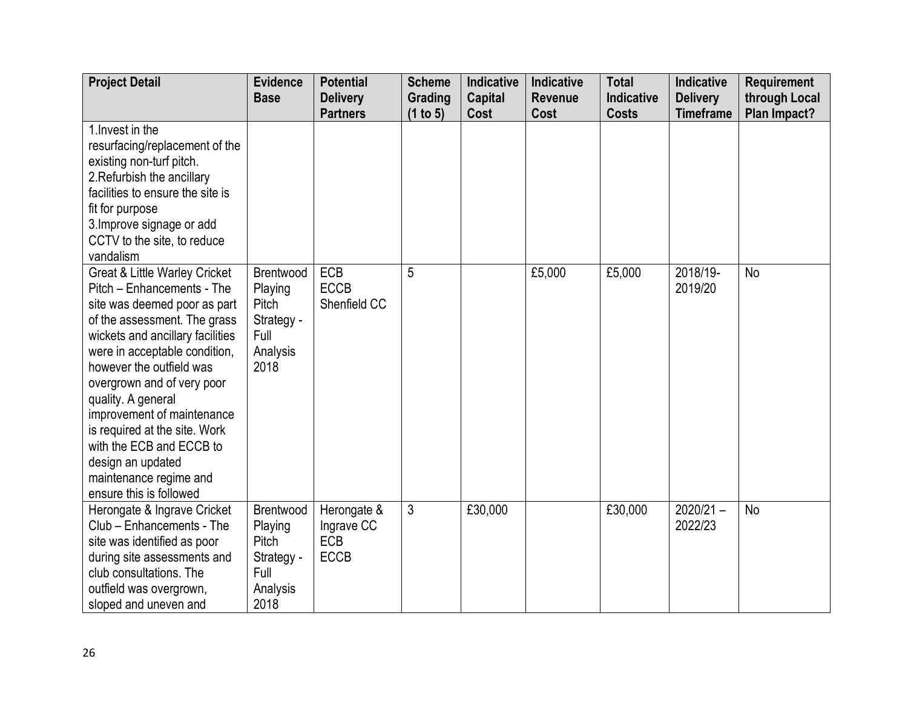| <b>Project Detail</b>                                  | <b>Evidence</b>    | <b>Potential</b> | <b>Scheme</b> | <b>Indicative</b> | Indicative     | <b>Total</b> | <b>Indicative</b> | <b>Requirement</b> |
|--------------------------------------------------------|--------------------|------------------|---------------|-------------------|----------------|--------------|-------------------|--------------------|
|                                                        | <b>Base</b>        | <b>Delivery</b>  | Grading       | <b>Capital</b>    | <b>Revenue</b> | Indicative   | <b>Delivery</b>   | through Local      |
|                                                        |                    | <b>Partners</b>  | (1 to 5)      | Cost              | Cost           | <b>Costs</b> | <b>Timeframe</b>  | Plan Impact?       |
| 1. Invest in the                                       |                    |                  |               |                   |                |              |                   |                    |
| resurfacing/replacement of the                         |                    |                  |               |                   |                |              |                   |                    |
| existing non-turf pitch.                               |                    |                  |               |                   |                |              |                   |                    |
| 2. Refurbish the ancillary                             |                    |                  |               |                   |                |              |                   |                    |
| facilities to ensure the site is                       |                    |                  |               |                   |                |              |                   |                    |
| fit for purpose                                        |                    |                  |               |                   |                |              |                   |                    |
| 3. Improve signage or add                              |                    |                  |               |                   |                |              |                   |                    |
| CCTV to the site, to reduce                            |                    |                  |               |                   |                |              |                   |                    |
| vandalism                                              |                    |                  |               |                   |                |              |                   |                    |
| <b>Great &amp; Little Warley Cricket</b>               | Brentwood          | <b>ECB</b>       | 5             |                   | £5,000         | £5,000       | 2018/19-          | <b>No</b>          |
| Pitch – Enhancements - The                             | Playing            | <b>ECCB</b>      |               |                   |                |              | 2019/20           |                    |
| site was deemed poor as part                           | Pitch              | Shenfield CC     |               |                   |                |              |                   |                    |
| of the assessment. The grass                           | Strategy -         |                  |               |                   |                |              |                   |                    |
| wickets and ancillary facilities                       | Full               |                  |               |                   |                |              |                   |                    |
| were in acceptable condition,                          | Analysis           |                  |               |                   |                |              |                   |                    |
| however the outfield was                               | 2018               |                  |               |                   |                |              |                   |                    |
| overgrown and of very poor                             |                    |                  |               |                   |                |              |                   |                    |
| quality. A general                                     |                    |                  |               |                   |                |              |                   |                    |
| improvement of maintenance                             |                    |                  |               |                   |                |              |                   |                    |
| is required at the site. Work                          |                    |                  |               |                   |                |              |                   |                    |
| with the ECB and ECCB to                               |                    |                  |               |                   |                |              |                   |                    |
| design an updated<br>maintenance regime and            |                    |                  |               |                   |                |              |                   |                    |
| ensure this is followed                                |                    |                  |               |                   |                |              |                   |                    |
| Herongate & Ingrave Cricket                            | Brentwood          | Herongate &      | 3             | £30,000           |                | £30,000      | $2020/21 -$       | <b>No</b>          |
| Club - Enhancements - The                              | Playing            | Ingrave CC       |               |                   |                |              | 2022/23           |                    |
| site was identified as poor                            | Pitch              | <b>ECB</b>       |               |                   |                |              |                   |                    |
|                                                        |                    | <b>ECCB</b>      |               |                   |                |              |                   |                    |
| during site assessments and<br>club consultations. The | Strategy -<br>Full |                  |               |                   |                |              |                   |                    |
|                                                        |                    |                  |               |                   |                |              |                   |                    |
| outfield was overgrown,                                | Analysis<br>2018   |                  |               |                   |                |              |                   |                    |
| sloped and uneven and                                  |                    |                  |               |                   |                |              |                   |                    |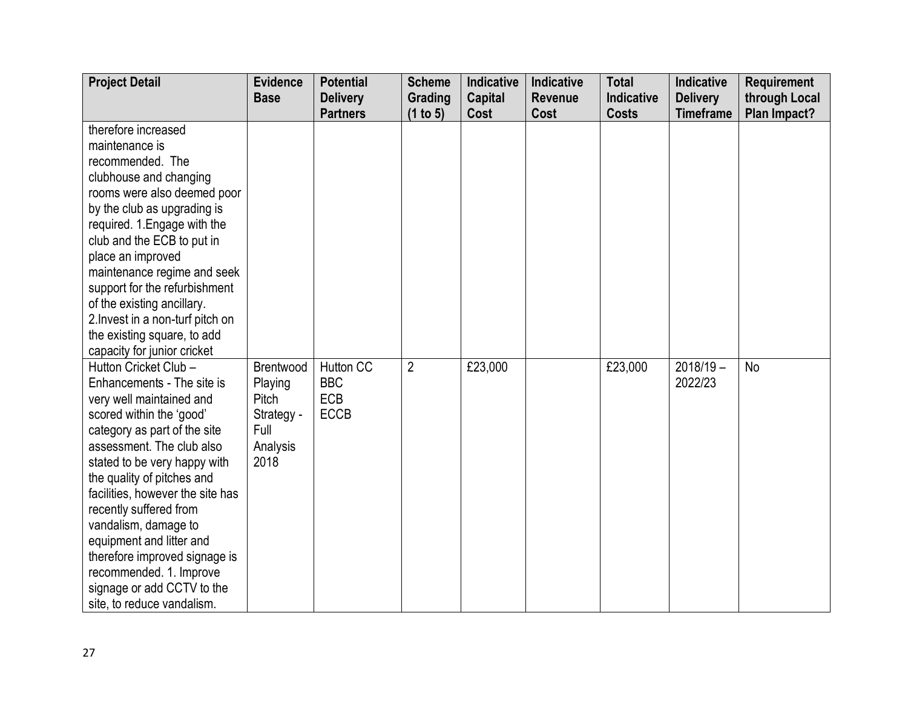| <b>Project Detail</b>                                                                                                                                                                                                                                                                                                                                                                                                                                                            | <b>Evidence</b>                                                         | <b>Potential</b>                                            | <b>Scheme</b>       | <b>Indicative</b>      | Indicative      | <b>Total</b>               | <b>Indicative</b>                   | <b>Requirement</b>            |
|----------------------------------------------------------------------------------------------------------------------------------------------------------------------------------------------------------------------------------------------------------------------------------------------------------------------------------------------------------------------------------------------------------------------------------------------------------------------------------|-------------------------------------------------------------------------|-------------------------------------------------------------|---------------------|------------------------|-----------------|----------------------------|-------------------------------------|-------------------------------|
|                                                                                                                                                                                                                                                                                                                                                                                                                                                                                  | <b>Base</b>                                                             | <b>Delivery</b><br><b>Partners</b>                          | Grading<br>(1 to 5) | <b>Capital</b><br>Cost | Revenue<br>Cost | Indicative<br><b>Costs</b> | <b>Delivery</b><br><b>Timeframe</b> | through Local<br>Plan Impact? |
| therefore increased<br>maintenance is<br>recommended. The                                                                                                                                                                                                                                                                                                                                                                                                                        |                                                                         |                                                             |                     |                        |                 |                            |                                     |                               |
| clubhouse and changing<br>rooms were also deemed poor<br>by the club as upgrading is<br>required. 1. Engage with the<br>club and the ECB to put in<br>place an improved                                                                                                                                                                                                                                                                                                          |                                                                         |                                                             |                     |                        |                 |                            |                                     |                               |
| maintenance regime and seek<br>support for the refurbishment<br>of the existing ancillary.<br>2. Invest in a non-turf pitch on<br>the existing square, to add<br>capacity for junior cricket                                                                                                                                                                                                                                                                                     |                                                                         |                                                             |                     |                        |                 |                            |                                     |                               |
| Hutton Cricket Club -<br>Enhancements - The site is<br>very well maintained and<br>scored within the 'good'<br>category as part of the site<br>assessment. The club also<br>stated to be very happy with<br>the quality of pitches and<br>facilities, however the site has<br>recently suffered from<br>vandalism, damage to<br>equipment and litter and<br>therefore improved signage is<br>recommended. 1. Improve<br>signage or add CCTV to the<br>site, to reduce vandalism. | Brentwood<br>Playing<br>Pitch<br>Strategy -<br>Full<br>Analysis<br>2018 | <b>Hutton CC</b><br><b>BBC</b><br><b>ECB</b><br><b>ECCB</b> | $\overline{2}$      | £23,000                |                 | £23,000                    | $2018/19 -$<br>2022/23              | <b>No</b>                     |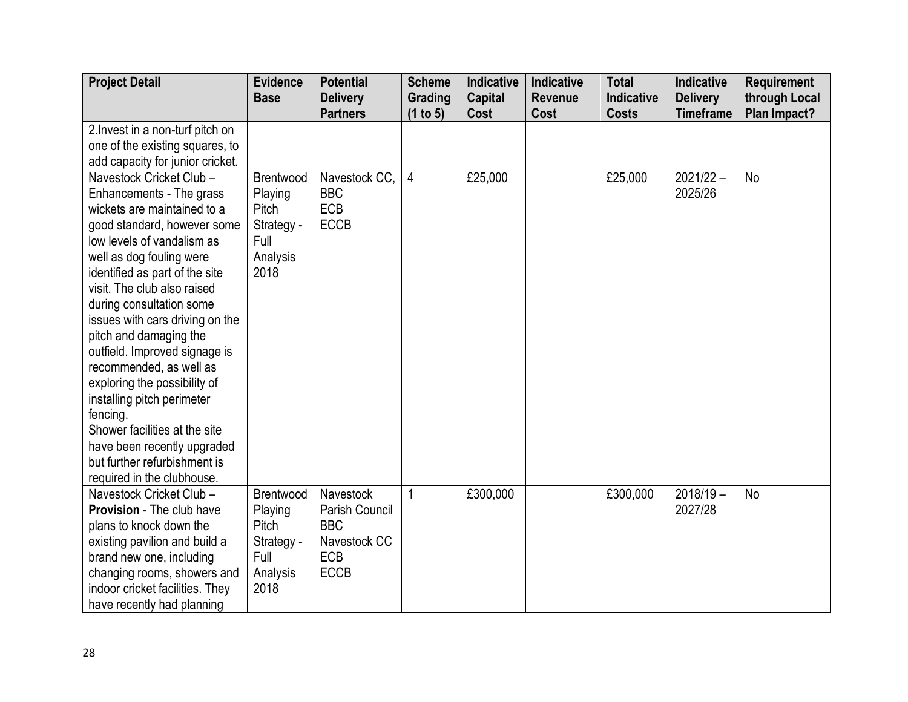| <b>Project Detail</b>            | <b>Evidence</b> | <b>Potential</b>                   | <b>Scheme</b>       | <b>Indicative</b>      | Indicative             | <b>Total</b>               | Indicative                          | <b>Requirement</b>            |
|----------------------------------|-----------------|------------------------------------|---------------------|------------------------|------------------------|----------------------------|-------------------------------------|-------------------------------|
|                                  | <b>Base</b>     | <b>Delivery</b><br><b>Partners</b> | Grading<br>(1 to 5) | <b>Capital</b><br>Cost | <b>Revenue</b><br>Cost | Indicative<br><b>Costs</b> | <b>Delivery</b><br><b>Timeframe</b> | through Local<br>Plan Impact? |
| 2. Invest in a non-turf pitch on |                 |                                    |                     |                        |                        |                            |                                     |                               |
| one of the existing squares, to  |                 |                                    |                     |                        |                        |                            |                                     |                               |
| add capacity for junior cricket. |                 |                                    |                     |                        |                        |                            |                                     |                               |
| Navestock Cricket Club -         | Brentwood       | Navestock CC,                      | $\overline{4}$      | £25,000                |                        | £25,000                    | $2021/22 -$                         | No                            |
| Enhancements - The grass         | Playing         | <b>BBC</b>                         |                     |                        |                        |                            | 2025/26                             |                               |
| wickets are maintained to a      | Pitch           | ECB                                |                     |                        |                        |                            |                                     |                               |
| good standard, however some      | Strategy -      | ECCB                               |                     |                        |                        |                            |                                     |                               |
| low levels of vandalism as       | Full            |                                    |                     |                        |                        |                            |                                     |                               |
| well as dog fouling were         | Analysis        |                                    |                     |                        |                        |                            |                                     |                               |
| identified as part of the site   | 2018            |                                    |                     |                        |                        |                            |                                     |                               |
| visit. The club also raised      |                 |                                    |                     |                        |                        |                            |                                     |                               |
| during consultation some         |                 |                                    |                     |                        |                        |                            |                                     |                               |
| issues with cars driving on the  |                 |                                    |                     |                        |                        |                            |                                     |                               |
| pitch and damaging the           |                 |                                    |                     |                        |                        |                            |                                     |                               |
| outfield. Improved signage is    |                 |                                    |                     |                        |                        |                            |                                     |                               |
| recommended, as well as          |                 |                                    |                     |                        |                        |                            |                                     |                               |
| exploring the possibility of     |                 |                                    |                     |                        |                        |                            |                                     |                               |
| installing pitch perimeter       |                 |                                    |                     |                        |                        |                            |                                     |                               |
| fencing.                         |                 |                                    |                     |                        |                        |                            |                                     |                               |
| Shower facilities at the site    |                 |                                    |                     |                        |                        |                            |                                     |                               |
| have been recently upgraded      |                 |                                    |                     |                        |                        |                            |                                     |                               |
| but further refurbishment is     |                 |                                    |                     |                        |                        |                            |                                     |                               |
| required in the clubhouse.       |                 |                                    |                     |                        |                        |                            |                                     |                               |
| Navestock Cricket Club -         | Brentwood       | Navestock                          | 1                   | £300,000               |                        | £300,000                   | $2018/19 -$                         | No                            |
| <b>Provision</b> - The club have | Playing         | Parish Council                     |                     |                        |                        |                            | 2027/28                             |                               |
| plans to knock down the          | Pitch           | <b>BBC</b>                         |                     |                        |                        |                            |                                     |                               |
| existing pavilion and build a    | Strategy -      | Navestock CC                       |                     |                        |                        |                            |                                     |                               |
| brand new one, including         | Full            | <b>ECB</b>                         |                     |                        |                        |                            |                                     |                               |
| changing rooms, showers and      | Analysis        | <b>ECCB</b>                        |                     |                        |                        |                            |                                     |                               |
| indoor cricket facilities. They  | 2018            |                                    |                     |                        |                        |                            |                                     |                               |
| have recently had planning       |                 |                                    |                     |                        |                        |                            |                                     |                               |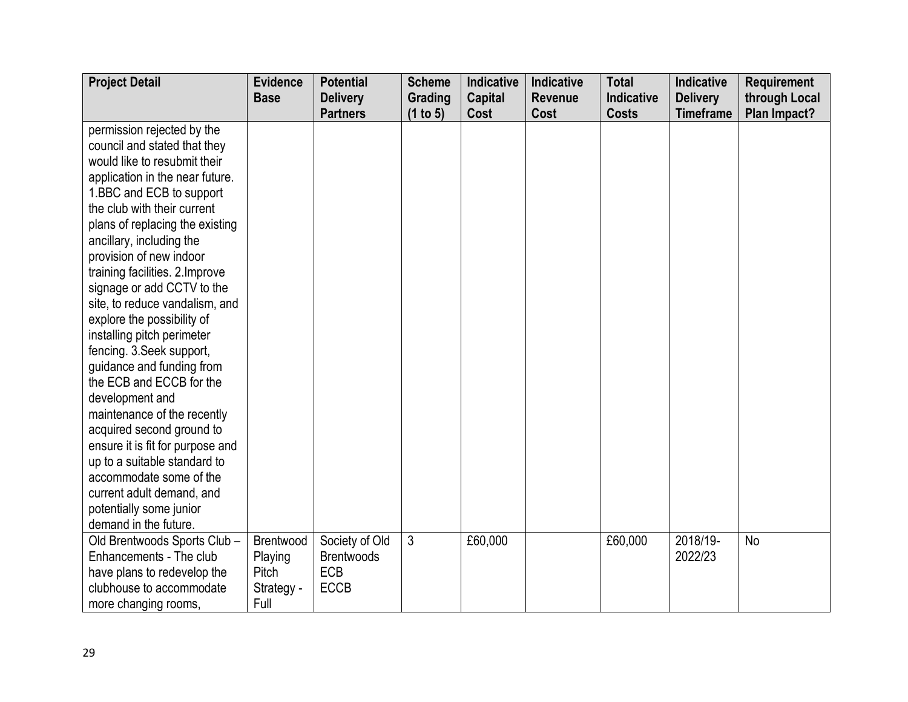| <b>Project Detail</b>            | <b>Evidence</b> | <b>Potential</b>  | <b>Scheme</b>  | <b>Indicative</b> | <b>Indicative</b> | <b>Total</b> | Indicative       | <b>Requirement</b> |
|----------------------------------|-----------------|-------------------|----------------|-------------------|-------------------|--------------|------------------|--------------------|
|                                  | <b>Base</b>     | <b>Delivery</b>   | Grading        | <b>Capital</b>    | <b>Revenue</b>    | Indicative   | <b>Delivery</b>  | through Local      |
|                                  |                 | <b>Partners</b>   | (1 to 5)       | Cost              | Cost              | <b>Costs</b> | <b>Timeframe</b> | Plan Impact?       |
| permission rejected by the       |                 |                   |                |                   |                   |              |                  |                    |
| council and stated that they     |                 |                   |                |                   |                   |              |                  |                    |
| would like to resubmit their     |                 |                   |                |                   |                   |              |                  |                    |
| application in the near future.  |                 |                   |                |                   |                   |              |                  |                    |
| 1.BBC and ECB to support         |                 |                   |                |                   |                   |              |                  |                    |
| the club with their current      |                 |                   |                |                   |                   |              |                  |                    |
| plans of replacing the existing  |                 |                   |                |                   |                   |              |                  |                    |
| ancillary, including the         |                 |                   |                |                   |                   |              |                  |                    |
| provision of new indoor          |                 |                   |                |                   |                   |              |                  |                    |
| training facilities. 2. Improve  |                 |                   |                |                   |                   |              |                  |                    |
| signage or add CCTV to the       |                 |                   |                |                   |                   |              |                  |                    |
| site, to reduce vandalism, and   |                 |                   |                |                   |                   |              |                  |                    |
| explore the possibility of       |                 |                   |                |                   |                   |              |                  |                    |
| installing pitch perimeter       |                 |                   |                |                   |                   |              |                  |                    |
| fencing. 3. Seek support,        |                 |                   |                |                   |                   |              |                  |                    |
| guidance and funding from        |                 |                   |                |                   |                   |              |                  |                    |
| the ECB and ECCB for the         |                 |                   |                |                   |                   |              |                  |                    |
| development and                  |                 |                   |                |                   |                   |              |                  |                    |
| maintenance of the recently      |                 |                   |                |                   |                   |              |                  |                    |
| acquired second ground to        |                 |                   |                |                   |                   |              |                  |                    |
| ensure it is fit for purpose and |                 |                   |                |                   |                   |              |                  |                    |
| up to a suitable standard to     |                 |                   |                |                   |                   |              |                  |                    |
| accommodate some of the          |                 |                   |                |                   |                   |              |                  |                    |
| current adult demand, and        |                 |                   |                |                   |                   |              |                  |                    |
| potentially some junior          |                 |                   |                |                   |                   |              |                  |                    |
| demand in the future.            |                 |                   |                |                   |                   |              |                  |                    |
| Old Brentwoods Sports Club -     | Brentwood       | Society of Old    | $\mathfrak{Z}$ | £60,000           |                   | £60,000      | 2018/19-         | No                 |
| Enhancements - The club          | Playing         | <b>Brentwoods</b> |                |                   |                   |              | 2022/23          |                    |
| have plans to redevelop the      | Pitch           | <b>ECB</b>        |                |                   |                   |              |                  |                    |
| clubhouse to accommodate         | Strategy -      | <b>ECCB</b>       |                |                   |                   |              |                  |                    |
| more changing rooms,             | Full            |                   |                |                   |                   |              |                  |                    |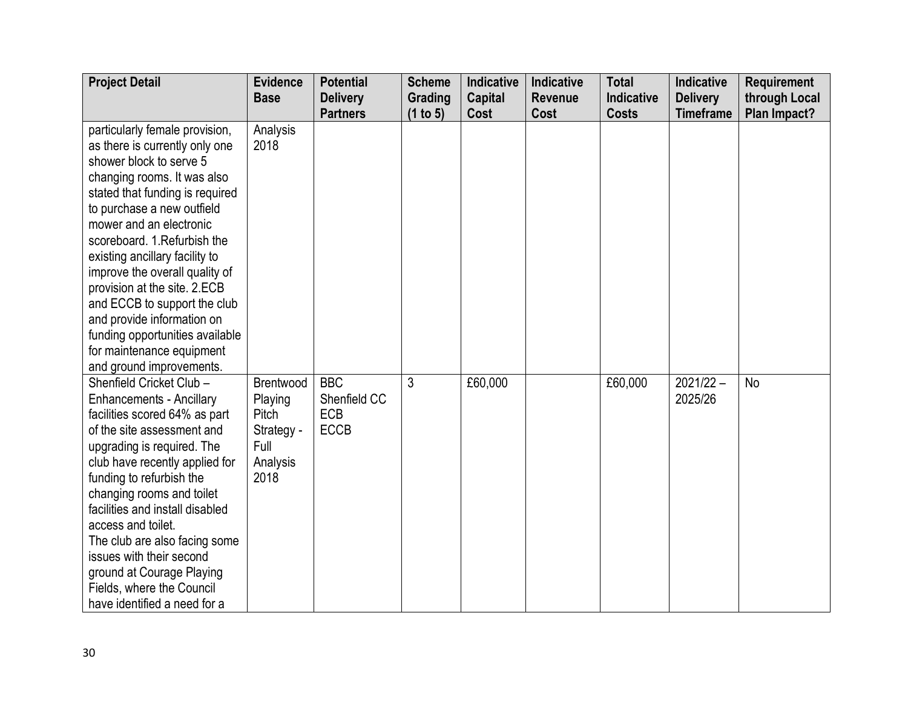| <b>Project Detail</b>           | <b>Evidence</b> | <b>Potential</b> | <b>Scheme</b> | <b>Indicative</b> | Indicative     | <b>Total</b> | <b>Indicative</b> | <b>Requirement</b> |
|---------------------------------|-----------------|------------------|---------------|-------------------|----------------|--------------|-------------------|--------------------|
|                                 | <b>Base</b>     | <b>Delivery</b>  | Grading       | <b>Capital</b>    | <b>Revenue</b> | Indicative   | <b>Delivery</b>   | through Local      |
|                                 |                 | <b>Partners</b>  | (1 to 5)      | Cost              | Cost           | <b>Costs</b> | <b>Timeframe</b>  | Plan Impact?       |
| particularly female provision,  | Analysis        |                  |               |                   |                |              |                   |                    |
| as there is currently only one  | 2018            |                  |               |                   |                |              |                   |                    |
| shower block to serve 5         |                 |                  |               |                   |                |              |                   |                    |
| changing rooms. It was also     |                 |                  |               |                   |                |              |                   |                    |
| stated that funding is required |                 |                  |               |                   |                |              |                   |                    |
| to purchase a new outfield      |                 |                  |               |                   |                |              |                   |                    |
| mower and an electronic         |                 |                  |               |                   |                |              |                   |                    |
| scoreboard. 1. Refurbish the    |                 |                  |               |                   |                |              |                   |                    |
| existing ancillary facility to  |                 |                  |               |                   |                |              |                   |                    |
| improve the overall quality of  |                 |                  |               |                   |                |              |                   |                    |
| provision at the site. 2.ECB    |                 |                  |               |                   |                |              |                   |                    |
| and ECCB to support the club    |                 |                  |               |                   |                |              |                   |                    |
| and provide information on      |                 |                  |               |                   |                |              |                   |                    |
| funding opportunities available |                 |                  |               |                   |                |              |                   |                    |
| for maintenance equipment       |                 |                  |               |                   |                |              |                   |                    |
| and ground improvements.        |                 |                  |               |                   |                |              |                   |                    |
| Shenfield Cricket Club -        | Brentwood       | <b>BBC</b>       | 3             | £60,000           |                | £60,000      | $2021/22 -$       | <b>No</b>          |
| <b>Enhancements - Ancillary</b> | Playing         | Shenfield CC     |               |                   |                |              | 2025/26           |                    |
| facilities scored 64% as part   | Pitch           | <b>ECB</b>       |               |                   |                |              |                   |                    |
| of the site assessment and      | Strategy -      | <b>ECCB</b>      |               |                   |                |              |                   |                    |
| upgrading is required. The      | Full            |                  |               |                   |                |              |                   |                    |
| club have recently applied for  | Analysis        |                  |               |                   |                |              |                   |                    |
| funding to refurbish the        | 2018            |                  |               |                   |                |              |                   |                    |
| changing rooms and toilet       |                 |                  |               |                   |                |              |                   |                    |
| facilities and install disabled |                 |                  |               |                   |                |              |                   |                    |
| access and toilet.              |                 |                  |               |                   |                |              |                   |                    |
| The club are also facing some   |                 |                  |               |                   |                |              |                   |                    |
| issues with their second        |                 |                  |               |                   |                |              |                   |                    |
| ground at Courage Playing       |                 |                  |               |                   |                |              |                   |                    |
| Fields, where the Council       |                 |                  |               |                   |                |              |                   |                    |
| have identified a need for a    |                 |                  |               |                   |                |              |                   |                    |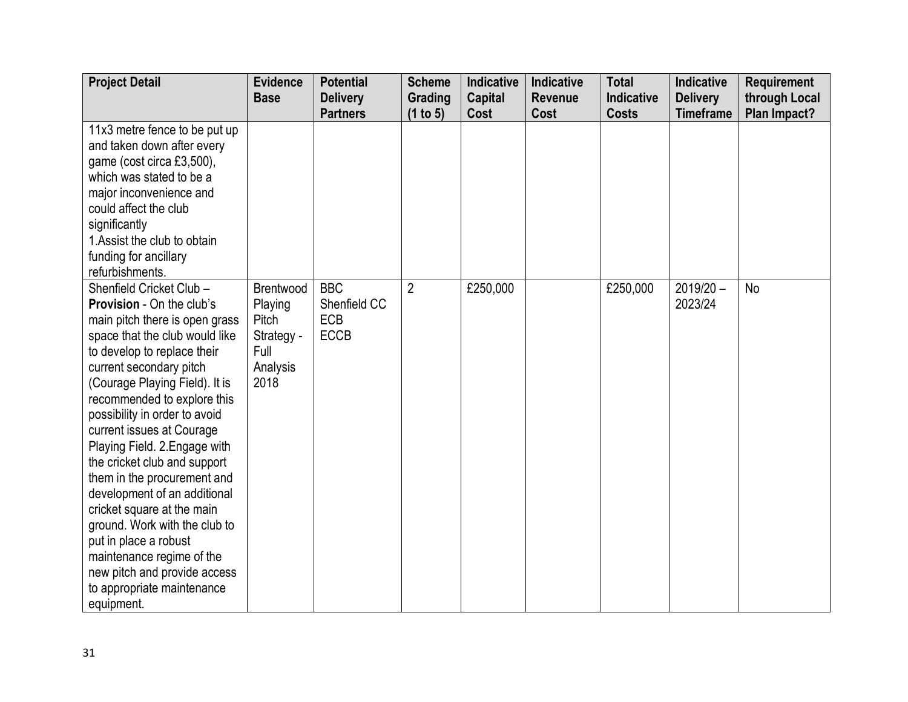| <b>Project Detail</b>                                                                                                                                                                                                                                                                                                                                                                                                                                                                                                                                                                                                                               | <b>Evidence</b>                                                         | <b>Potential</b>                                 | <b>Scheme</b>       | <b>Indicative</b>      | Indicative      | <b>Total</b>                      | <b>Indicative</b>                   | <b>Requirement</b>            |
|-----------------------------------------------------------------------------------------------------------------------------------------------------------------------------------------------------------------------------------------------------------------------------------------------------------------------------------------------------------------------------------------------------------------------------------------------------------------------------------------------------------------------------------------------------------------------------------------------------------------------------------------------------|-------------------------------------------------------------------------|--------------------------------------------------|---------------------|------------------------|-----------------|-----------------------------------|-------------------------------------|-------------------------------|
|                                                                                                                                                                                                                                                                                                                                                                                                                                                                                                                                                                                                                                                     | <b>Base</b>                                                             | <b>Delivery</b><br><b>Partners</b>               | Grading<br>(1 to 5) | <b>Capital</b><br>Cost | Revenue<br>Cost | <b>Indicative</b><br><b>Costs</b> | <b>Delivery</b><br><b>Timeframe</b> | through Local<br>Plan Impact? |
| 11x3 metre fence to be put up<br>and taken down after every<br>game (cost circa £3,500),<br>which was stated to be a<br>major inconvenience and<br>could affect the club<br>significantly<br>1. Assist the club to obtain<br>funding for ancillary<br>refurbishments.                                                                                                                                                                                                                                                                                                                                                                               |                                                                         |                                                  |                     |                        |                 |                                   |                                     |                               |
| Shenfield Cricket Club -<br>Provision - On the club's<br>main pitch there is open grass<br>space that the club would like<br>to develop to replace their<br>current secondary pitch<br>(Courage Playing Field). It is<br>recommended to explore this<br>possibility in order to avoid<br>current issues at Courage<br>Playing Field. 2. Engage with<br>the cricket club and support<br>them in the procurement and<br>development of an additional<br>cricket square at the main<br>ground. Work with the club to<br>put in place a robust<br>maintenance regime of the<br>new pitch and provide access<br>to appropriate maintenance<br>equipment. | Brentwood<br>Playing<br>Pitch<br>Strategy -<br>Full<br>Analysis<br>2018 | <b>BBC</b><br>Shenfield CC<br>ECB<br><b>ECCB</b> | $\overline{2}$      | £250,000               |                 | £250,000                          | $2019/20 -$<br>2023/24              | No                            |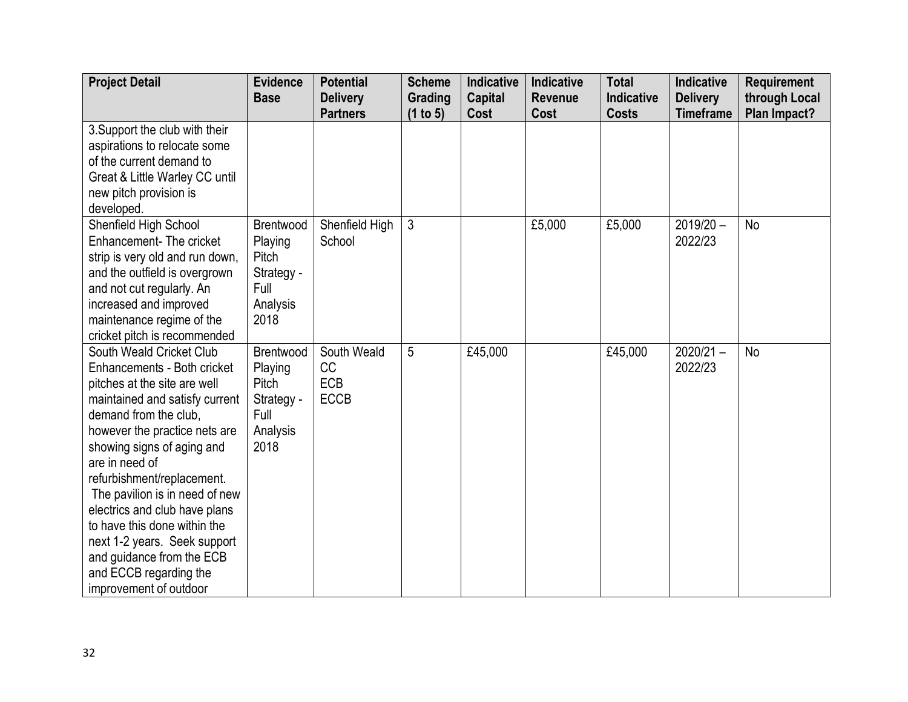| <b>Project Detail</b>           | <b>Evidence</b>  | <b>Potential</b> | <b>Scheme</b>  | <b>Indicative</b> | <b>Indicative</b> | <b>Total</b> | <b>Indicative</b> | <b>Requirement</b> |
|---------------------------------|------------------|------------------|----------------|-------------------|-------------------|--------------|-------------------|--------------------|
|                                 | <b>Base</b>      | <b>Delivery</b>  | Grading        | <b>Capital</b>    | <b>Revenue</b>    | Indicative   | <b>Delivery</b>   | through Local      |
|                                 |                  | <b>Partners</b>  | (1 to 5)       | Cost              | Cost              | <b>Costs</b> | <b>Timeframe</b>  | Plan Impact?       |
| 3. Support the club with their  |                  |                  |                |                   |                   |              |                   |                    |
| aspirations to relocate some    |                  |                  |                |                   |                   |              |                   |                    |
| of the current demand to        |                  |                  |                |                   |                   |              |                   |                    |
| Great & Little Warley CC until  |                  |                  |                |                   |                   |              |                   |                    |
| new pitch provision is          |                  |                  |                |                   |                   |              |                   |                    |
| developed.                      |                  |                  |                |                   |                   |              |                   |                    |
| Shenfield High School           | Brentwood        | Shenfield High   | $\mathfrak{Z}$ |                   | £5,000            | £5,000       | $2019/20 -$       | <b>No</b>          |
| Enhancement-The cricket         | Playing          | School           |                |                   |                   |              | 2022/23           |                    |
| strip is very old and run down, | Pitch            |                  |                |                   |                   |              |                   |                    |
| and the outfield is overgrown   | Strategy -       |                  |                |                   |                   |              |                   |                    |
| and not cut regularly. An       | Full             |                  |                |                   |                   |              |                   |                    |
| increased and improved          | Analysis         |                  |                |                   |                   |              |                   |                    |
| maintenance regime of the       | 2018             |                  |                |                   |                   |              |                   |                    |
| cricket pitch is recommended    |                  |                  |                |                   |                   |              |                   |                    |
| South Weald Cricket Club        | <b>Brentwood</b> | South Weald      | 5              | £45,000           |                   | £45,000      | $2020/21 -$       | <b>No</b>          |
| Enhancements - Both cricket     | Playing          | CC               |                |                   |                   |              | 2022/23           |                    |
| pitches at the site are well    | Pitch            | <b>ECB</b>       |                |                   |                   |              |                   |                    |
| maintained and satisfy current  | Strategy -       | <b>ECCB</b>      |                |                   |                   |              |                   |                    |
| demand from the club,           | Full             |                  |                |                   |                   |              |                   |                    |
| however the practice nets are   | Analysis         |                  |                |                   |                   |              |                   |                    |
| showing signs of aging and      | 2018             |                  |                |                   |                   |              |                   |                    |
| are in need of                  |                  |                  |                |                   |                   |              |                   |                    |
| refurbishment/replacement.      |                  |                  |                |                   |                   |              |                   |                    |
| The pavilion is in need of new  |                  |                  |                |                   |                   |              |                   |                    |
| electrics and club have plans   |                  |                  |                |                   |                   |              |                   |                    |
| to have this done within the    |                  |                  |                |                   |                   |              |                   |                    |
| next 1-2 years. Seek support    |                  |                  |                |                   |                   |              |                   |                    |
| and guidance from the ECB       |                  |                  |                |                   |                   |              |                   |                    |
| and ECCB regarding the          |                  |                  |                |                   |                   |              |                   |                    |
| improvement of outdoor          |                  |                  |                |                   |                   |              |                   |                    |